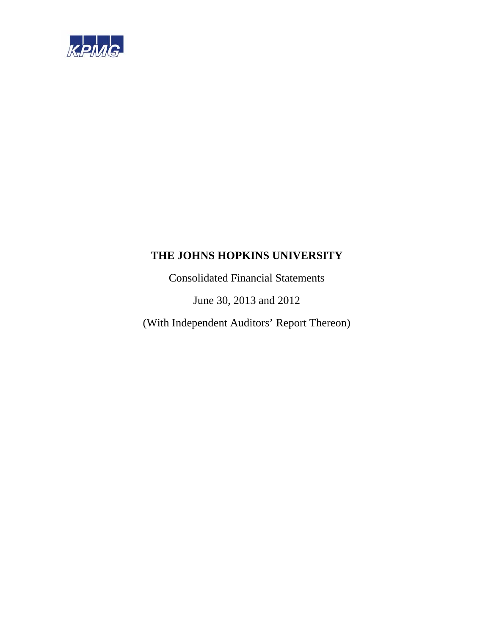

Consolidated Financial Statements

June 30, 2013 and 2012

(With Independent Auditors' Report Thereon)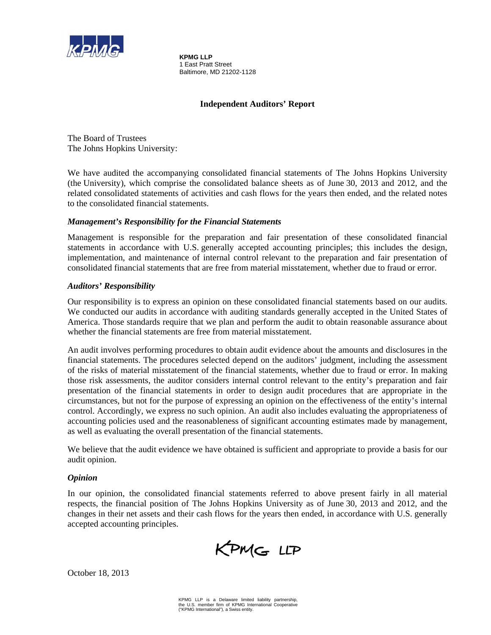

**KPMG LLP**  1 East Pratt Street Baltimore, MD 21202-1128

# **Independent Auditors' Report**

The Board of Trustees The Johns Hopkins University:

We have audited the accompanying consolidated financial statements of The Johns Hopkins University (the University), which comprise the consolidated balance sheets as of June 30, 2013 and 2012, and the related consolidated statements of activities and cash flows for the years then ended, and the related notes to the consolidated financial statements.

# *Management's Responsibility for the Financial Statements*

Management is responsible for the preparation and fair presentation of these consolidated financial statements in accordance with U.S. generally accepted accounting principles; this includes the design, implementation, and maintenance of internal control relevant to the preparation and fair presentation of consolidated financial statements that are free from material misstatement, whether due to fraud or error.

### *Auditors' Responsibility*

Our responsibility is to express an opinion on these consolidated financial statements based on our audits. We conducted our audits in accordance with auditing standards generally accepted in the United States of America. Those standards require that we plan and perform the audit to obtain reasonable assurance about whether the financial statements are free from material misstatement.

An audit involves performing procedures to obtain audit evidence about the amounts and disclosures in the financial statements. The procedures selected depend on the auditors' judgment, including the assessment of the risks of material misstatement of the financial statements, whether due to fraud or error. In making those risk assessments, the auditor considers internal control relevant to the entity's preparation and fair presentation of the financial statements in order to design audit procedures that are appropriate in the circumstances, but not for the purpose of expressing an opinion on the effectiveness of the entity's internal control. Accordingly, we express no such opinion. An audit also includes evaluating the appropriateness of accounting policies used and the reasonableness of significant accounting estimates made by management, as well as evaluating the overall presentation of the financial statements.

We believe that the audit evidence we have obtained is sufficient and appropriate to provide a basis for our audit opinion.

#### *Opinion*

In our opinion, the consolidated financial statements referred to above present fairly in all material respects, the financial position of The Johns Hopkins University as of June 30, 2013 and 2012, and the changes in their net assets and their cash flows for the years then ended, in accordance with U.S. generally accepted accounting principles.

KPMG LLP

October 18, 2013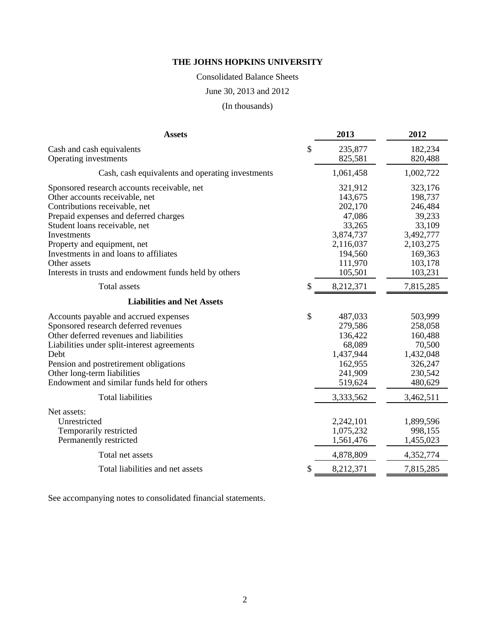# Consolidated Balance Sheets

# June 30, 2013 and 2012

# (In thousands)

| <b>Assets</b>                                                                                                                                                                                                                                                                                                                                              |     | 2013                                                                                                         | 2012                                                                                                         |
|------------------------------------------------------------------------------------------------------------------------------------------------------------------------------------------------------------------------------------------------------------------------------------------------------------------------------------------------------------|-----|--------------------------------------------------------------------------------------------------------------|--------------------------------------------------------------------------------------------------------------|
| Cash and cash equivalents<br>Operating investments                                                                                                                                                                                                                                                                                                         | \$  | 235,877<br>825,581                                                                                           | 182,234<br>820,488                                                                                           |
| Cash, cash equivalents and operating investments                                                                                                                                                                                                                                                                                                           |     | 1,061,458                                                                                                    | 1,002,722                                                                                                    |
| Sponsored research accounts receivable, net<br>Other accounts receivable, net<br>Contributions receivable, net<br>Prepaid expenses and deferred charges<br>Student loans receivable, net<br>Investments<br>Property and equipment, net<br>Investments in and loans to affiliates<br>Other assets<br>Interests in trusts and endowment funds held by others |     | 321,912<br>143,675<br>202,170<br>47,086<br>33,265<br>3,874,737<br>2,116,037<br>194,560<br>111,970<br>105,501 | 323,176<br>198,737<br>246,484<br>39,233<br>33,109<br>3,492,777<br>2,103,275<br>169,363<br>103,178<br>103,231 |
| <b>Total</b> assets                                                                                                                                                                                                                                                                                                                                        | \$. | 8,212,371                                                                                                    | 7,815,285                                                                                                    |
| <b>Liabilities and Net Assets</b>                                                                                                                                                                                                                                                                                                                          |     |                                                                                                              |                                                                                                              |
| Accounts payable and accrued expenses<br>Sponsored research deferred revenues<br>Other deferred revenues and liabilities<br>Liabilities under split-interest agreements<br>Debt<br>Pension and postretirement obligations<br>Other long-term liabilities<br>Endowment and similar funds held for others                                                    | \$  | 487,033<br>279,586<br>136,422<br>68,089<br>1,437,944<br>162,955<br>241,909<br>519,624                        | 503,999<br>258,058<br>160,488<br>70,500<br>1,432,048<br>326,247<br>230,542<br>480,629                        |
| <b>Total liabilities</b>                                                                                                                                                                                                                                                                                                                                   |     | 3,333,562                                                                                                    | 3,462,511                                                                                                    |
| Net assets:<br>Unrestricted<br>Temporarily restricted<br>Permanently restricted<br>Total net assets                                                                                                                                                                                                                                                        |     | 2,242,101<br>1,075,232<br>1,561,476<br>4,878,809                                                             | 1,899,596<br>998,155<br>1,455,023<br>4,352,774                                                               |
| Total liabilities and net assets                                                                                                                                                                                                                                                                                                                           | \$  | 8,212,371                                                                                                    | 7,815,285                                                                                                    |

See accompanying notes to consolidated financial statements.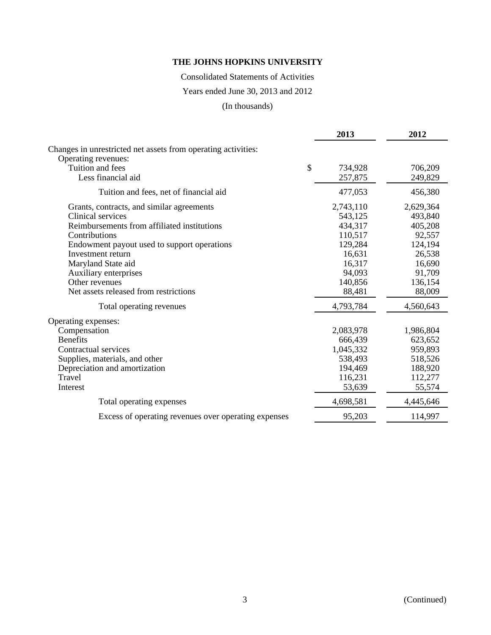Consolidated Statements of Activities

Years ended June 30, 2013 and 2012

(In thousands)

|                                                               | 2013      | 2012      |
|---------------------------------------------------------------|-----------|-----------|
| Changes in unrestricted net assets from operating activities: |           |           |
| Operating revenues:                                           |           |           |
| \$<br>Tuition and fees                                        | 734,928   | 706,209   |
| Less financial aid                                            | 257,875   | 249,829   |
| Tuition and fees, net of financial aid                        | 477,053   | 456,380   |
| Grants, contracts, and similar agreements                     | 2,743,110 | 2,629,364 |
| Clinical services                                             | 543,125   | 493,840   |
| Reimbursements from affiliated institutions                   | 434,317   | 405,208   |
| Contributions                                                 | 110,517   | 92,557    |
| Endowment payout used to support operations                   | 129,284   | 124,194   |
| Investment return                                             | 16,631    | 26,538    |
| Maryland State aid                                            | 16,317    | 16,690    |
| Auxiliary enterprises                                         | 94,093    | 91,709    |
| Other revenues                                                | 140,856   | 136,154   |
| Net assets released from restrictions                         | 88,481    | 88,009    |
| Total operating revenues                                      | 4,793,784 | 4,560,643 |
| Operating expenses:                                           |           |           |
| Compensation                                                  | 2,083,978 | 1,986,804 |
| <b>Benefits</b>                                               | 666,439   | 623,652   |
| Contractual services                                          | 1,045,332 | 959,893   |
| Supplies, materials, and other                                | 538,493   | 518,526   |
| Depreciation and amortization                                 | 194,469   | 188,920   |
| Travel                                                        | 116,231   | 112,277   |
| Interest                                                      | 53,639    | 55,574    |
| Total operating expenses                                      | 4,698,581 | 4,445,646 |
| Excess of operating revenues over operating expenses          | 95,203    | 114,997   |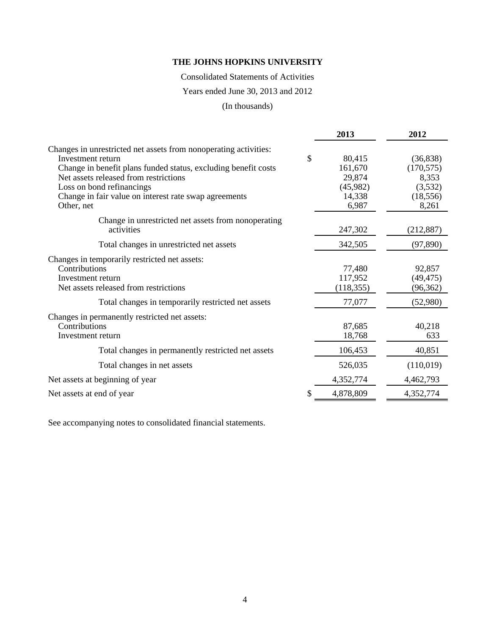Consolidated Statements of Activities

Years ended June 30, 2013 and 2012

(In thousands)

|                                                                                       |               | 2013              | 2012                    |
|---------------------------------------------------------------------------------------|---------------|-------------------|-------------------------|
| Changes in unrestricted net assets from nonoperating activities:<br>Investment return | $\mathcal{S}$ |                   |                         |
| Change in benefit plans funded status, excluding benefit costs                        |               | 80,415<br>161,670 | (36, 838)<br>(170, 575) |
| Net assets released from restrictions                                                 |               | 29,874            | 8,353                   |
| Loss on bond refinancings                                                             |               | (45,982)          | (3,532)                 |
| Change in fair value on interest rate swap agreements                                 |               | 14,338            | (18, 556)               |
| Other, net                                                                            |               | 6,987             | 8,261                   |
| Change in unrestricted net assets from nonoperating                                   |               |                   |                         |
| activities                                                                            |               | 247,302           | (212, 887)              |
| Total changes in unrestricted net assets                                              |               | 342,505           | (97, 890)               |
| Changes in temporarily restricted net assets:                                         |               |                   |                         |
| Contributions                                                                         |               | 77,480            | 92,857                  |
| Investment return                                                                     |               | 117,952           | (49, 475)               |
| Net assets released from restrictions                                                 |               | (118, 355)        | (96, 362)               |
| Total changes in temporarily restricted net assets                                    |               | 77,077            | (52,980)                |
| Changes in permanently restricted net assets:                                         |               |                   |                         |
| Contributions                                                                         |               | 87,685            | 40,218                  |
| Investment return                                                                     |               | 18,768            | 633                     |
| Total changes in permanently restricted net assets                                    |               | 106,453           | 40,851                  |
| Total changes in net assets                                                           |               | 526,035           | (110,019)               |
| Net assets at beginning of year                                                       |               | 4,352,774         | 4,462,793               |
| Net assets at end of year                                                             |               | 4,878,809         | 4,352,774               |

See accompanying notes to consolidated financial statements.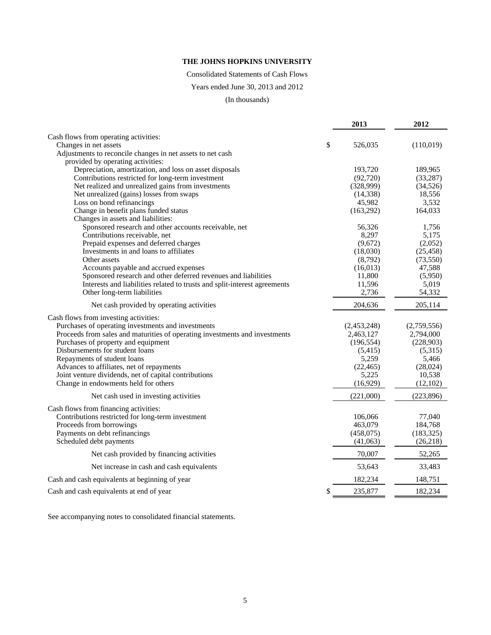Consolidated Statements of Cash Flows

### Years ended June 30, 2013 and 2012

(In thousands)

|                                                                                                          | 2013            | 2012            |
|----------------------------------------------------------------------------------------------------------|-----------------|-----------------|
| Cash flows from operating activities:                                                                    |                 |                 |
| Changes in net assets                                                                                    | \$<br>526,035   | (110,019)       |
| Adjustments to reconcile changes in net assets to net cash                                               |                 |                 |
| provided by operating activities:                                                                        |                 |                 |
| Depreciation, amortization, and loss on asset disposals                                                  | 193,720         | 189,965         |
| Contributions restricted for long-term investment                                                        | (92, 720)       | (33, 287)       |
| Net realized and unrealized gains from investments                                                       | (328,999)       | (34, 526)       |
| Net unrealized (gains) losses from swaps                                                                 | (14, 338)       | 18,556          |
| Loss on bond refinancings                                                                                | 45,982          | 3,532           |
| Change in benefit plans funded status                                                                    | (163, 292)      | 164,033         |
| Changes in assets and liabilities:                                                                       |                 |                 |
| Sponsored research and other accounts receivable, net                                                    | 56,326          | 1,756           |
| Contributions receivable, net                                                                            | 8,297           | 5,175           |
| Prepaid expenses and deferred charges                                                                    | (9,672)         | (2,052)         |
| Investments in and loans to affiliates                                                                   | (18,030)        | (25, 458)       |
| Other assets                                                                                             | (8,792)         | (73, 550)       |
| Accounts payable and accrued expenses                                                                    | (16,013)        | 47,588          |
| Sponsored research and other deferred revenues and liabilities                                           | 11,800          | (5,950)         |
| Interests and liabilities related to trusts and split-interest agreements<br>Other long-term liabilities | 11,596<br>2,736 | 5,019<br>54,332 |
|                                                                                                          |                 |                 |
| Net cash provided by operating activities                                                                | 204,636         | 205,114         |
| Cash flows from investing activities:                                                                    |                 |                 |
| Purchases of operating investments and investments                                                       | (2,453,248)     | (2,759,556)     |
| Proceeds from sales and maturities of operating investments and investments                              | 2,463,127       | 2,794,000       |
| Purchases of property and equipment                                                                      | (196, 554)      | (228,903)       |
| Disbursements for student loans                                                                          | (5,415)         | (5,315)         |
| Repayments of student loans                                                                              | 5,259           | 5,466           |
| Advances to affiliates, net of repayments                                                                | (22, 465)       | (28,024)        |
| Joint venture dividends, net of capital contributions                                                    | 5,225           | 10,538          |
| Change in endowments held for others                                                                     | (16,929)        | (12,102)        |
| Net cash used in investing activities                                                                    | (221,000)       | (223, 896)      |
| Cash flows from financing activities:                                                                    |                 |                 |
| Contributions restricted for long-term investment                                                        | 106,066         | 77,040          |
| Proceeds from borrowings                                                                                 | 463,079         | 184,768         |
| Payments on debt refinancings                                                                            | (458,075)       | (183, 325)      |
| Scheduled debt payments                                                                                  | (41,063)        | (26, 218)       |
| Net cash provided by financing activities                                                                | 70,007          | 52,265          |
| Net increase in cash and cash equivalents                                                                | 53,643          | 33,483          |
| Cash and cash equivalents at beginning of year                                                           | 182,234         | 148,751         |
| Cash and cash equivalents at end of year                                                                 | \$<br>235,877   | 182,234         |

See accompanying notes to consolidated financial statements.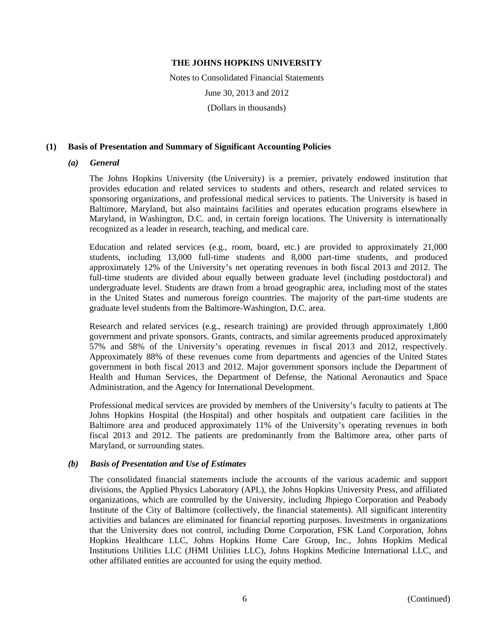Notes to Consolidated Financial Statements June 30, 2013 and 2012 (Dollars in thousands)

#### **(1) Basis of Presentation and Summary of Significant Accounting Policies**

#### *(a) General*

The Johns Hopkins University (the University) is a premier, privately endowed institution that provides education and related services to students and others, research and related services to sponsoring organizations, and professional medical services to patients. The University is based in Baltimore, Maryland, but also maintains facilities and operates education programs elsewhere in Maryland, in Washington, D.C. and, in certain foreign locations. The University is internationally recognized as a leader in research, teaching, and medical care.

Education and related services (e.g., room, board, etc.) are provided to approximately 21,000 students, including 13,000 full-time students and 8,000 part-time students, and produced approximately 12% of the University's net operating revenues in both fiscal 2013 and 2012. The full-time students are divided about equally between graduate level (including postdoctoral) and undergraduate level. Students are drawn from a broad geographic area, including most of the states in the United States and numerous foreign countries. The majority of the part-time students are graduate level students from the Baltimore-Washington, D.C. area.

Research and related services (e.g., research training) are provided through approximately 1,800 government and private sponsors. Grants, contracts, and similar agreements produced approximately 57% and 58% of the University's operating revenues in fiscal 2013 and 2012, respectively. Approximately 88% of these revenues come from departments and agencies of the United States government in both fiscal 2013 and 2012. Major government sponsors include the Department of Health and Human Services, the Department of Defense, the National Aeronautics and Space Administration, and the Agency for International Development.

Professional medical services are provided by members of the University's faculty to patients at The Johns Hopkins Hospital (the Hospital) and other hospitals and outpatient care facilities in the Baltimore area and produced approximately 11% of the University's operating revenues in both fiscal 2013 and 2012. The patients are predominantly from the Baltimore area, other parts of Maryland, or surrounding states.

# *(b) Basis of Presentation and Use of Estimates*

The consolidated financial statements include the accounts of the various academic and support divisions, the Applied Physics Laboratory (APL), the Johns Hopkins University Press, and affiliated organizations, which are controlled by the University, including Jhpiego Corporation and Peabody Institute of the City of Baltimore (collectively, the financial statements). All significant interentity activities and balances are eliminated for financial reporting purposes. Investments in organizations that the University does not control, including Dome Corporation, FSK Land Corporation, Johns Hopkins Healthcare LLC, Johns Hopkins Home Care Group, Inc., Johns Hopkins Medical Institutions Utilities LLC (JHMI Utilities LLC), Johns Hopkins Medicine International LLC, and other affiliated entities are accounted for using the equity method.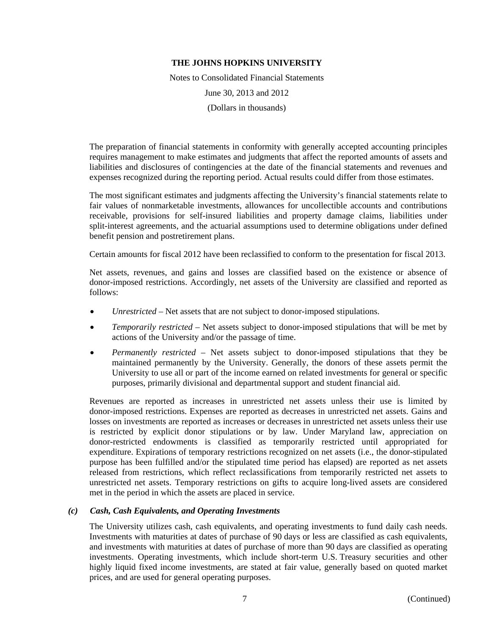Notes to Consolidated Financial Statements

June 30, 2013 and 2012

(Dollars in thousands)

The preparation of financial statements in conformity with generally accepted accounting principles requires management to make estimates and judgments that affect the reported amounts of assets and liabilities and disclosures of contingencies at the date of the financial statements and revenues and expenses recognized during the reporting period. Actual results could differ from those estimates.

The most significant estimates and judgments affecting the University's financial statements relate to fair values of nonmarketable investments, allowances for uncollectible accounts and contributions receivable, provisions for self-insured liabilities and property damage claims, liabilities under split-interest agreements, and the actuarial assumptions used to determine obligations under defined benefit pension and postretirement plans.

Certain amounts for fiscal 2012 have been reclassified to conform to the presentation for fiscal 2013.

Net assets, revenues, and gains and losses are classified based on the existence or absence of donor-imposed restrictions. Accordingly, net assets of the University are classified and reported as follows:

- *Unrestricted* Net assets that are not subject to donor-imposed stipulations.
- *Temporarily restricted* Net assets subject to donor-imposed stipulations that will be met by actions of the University and/or the passage of time.
- *Permanently restricted* Net assets subject to donor-imposed stipulations that they be maintained permanently by the University. Generally, the donors of these assets permit the University to use all or part of the income earned on related investments for general or specific purposes, primarily divisional and departmental support and student financial aid.

Revenues are reported as increases in unrestricted net assets unless their use is limited by donor-imposed restrictions. Expenses are reported as decreases in unrestricted net assets. Gains and losses on investments are reported as increases or decreases in unrestricted net assets unless their use is restricted by explicit donor stipulations or by law. Under Maryland law, appreciation on donor-restricted endowments is classified as temporarily restricted until appropriated for expenditure. Expirations of temporary restrictions recognized on net assets (i.e., the donor-stipulated purpose has been fulfilled and/or the stipulated time period has elapsed) are reported as net assets released from restrictions, which reflect reclassifications from temporarily restricted net assets to unrestricted net assets. Temporary restrictions on gifts to acquire long-lived assets are considered met in the period in which the assets are placed in service.

#### *(c) Cash, Cash Equivalents, and Operating Investments*

The University utilizes cash, cash equivalents, and operating investments to fund daily cash needs. Investments with maturities at dates of purchase of 90 days or less are classified as cash equivalents, and investments with maturities at dates of purchase of more than 90 days are classified as operating investments. Operating investments, which include short-term U.S. Treasury securities and other highly liquid fixed income investments, are stated at fair value, generally based on quoted market prices, and are used for general operating purposes.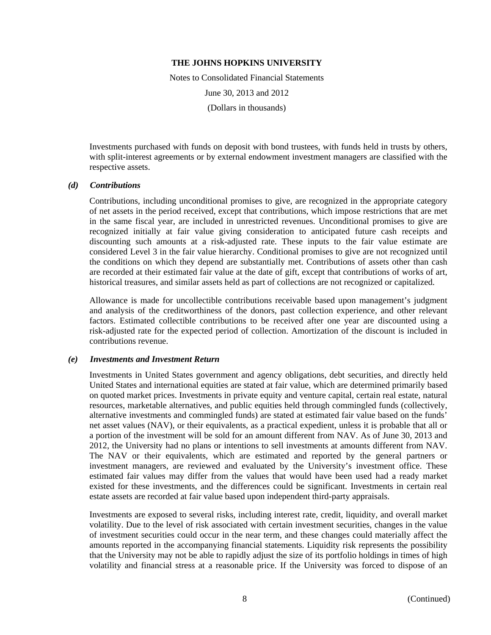Notes to Consolidated Financial Statements

June 30, 2013 and 2012

(Dollars in thousands)

Investments purchased with funds on deposit with bond trustees, with funds held in trusts by others, with split-interest agreements or by external endowment investment managers are classified with the respective assets.

### *(d) Contributions*

Contributions, including unconditional promises to give, are recognized in the appropriate category of net assets in the period received, except that contributions, which impose restrictions that are met in the same fiscal year, are included in unrestricted revenues. Unconditional promises to give are recognized initially at fair value giving consideration to anticipated future cash receipts and discounting such amounts at a risk-adjusted rate. These inputs to the fair value estimate are considered Level 3 in the fair value hierarchy. Conditional promises to give are not recognized until the conditions on which they depend are substantially met. Contributions of assets other than cash are recorded at their estimated fair value at the date of gift, except that contributions of works of art, historical treasures, and similar assets held as part of collections are not recognized or capitalized.

Allowance is made for uncollectible contributions receivable based upon management's judgment and analysis of the creditworthiness of the donors, past collection experience, and other relevant factors. Estimated collectible contributions to be received after one year are discounted using a risk-adjusted rate for the expected period of collection. Amortization of the discount is included in contributions revenue.

#### *(e) Investments and Investment Return*

Investments in United States government and agency obligations, debt securities, and directly held United States and international equities are stated at fair value, which are determined primarily based on quoted market prices. Investments in private equity and venture capital, certain real estate, natural resources, marketable alternatives, and public equities held through commingled funds (collectively, alternative investments and commingled funds) are stated at estimated fair value based on the funds' net asset values (NAV), or their equivalents, as a practical expedient, unless it is probable that all or a portion of the investment will be sold for an amount different from NAV. As of June 30, 2013 and 2012, the University had no plans or intentions to sell investments at amounts different from NAV. The NAV or their equivalents, which are estimated and reported by the general partners or investment managers, are reviewed and evaluated by the University's investment office. These estimated fair values may differ from the values that would have been used had a ready market existed for these investments, and the differences could be significant. Investments in certain real estate assets are recorded at fair value based upon independent third-party appraisals.

Investments are exposed to several risks, including interest rate, credit, liquidity, and overall market volatility. Due to the level of risk associated with certain investment securities, changes in the value of investment securities could occur in the near term, and these changes could materially affect the amounts reported in the accompanying financial statements. Liquidity risk represents the possibility that the University may not be able to rapidly adjust the size of its portfolio holdings in times of high volatility and financial stress at a reasonable price. If the University was forced to dispose of an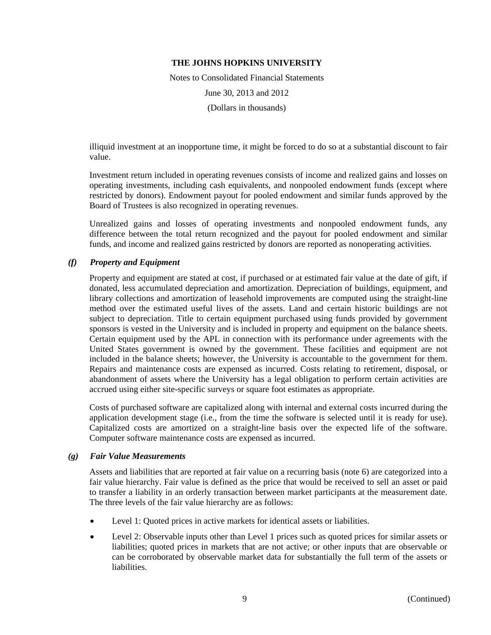Notes to Consolidated Financial Statements June 30, 2013 and 2012 (Dollars in thousands)

illiquid investment at an inopportune time, it might be forced to do so at a substantial discount to fair value.

Investment return included in operating revenues consists of income and realized gains and losses on operating investments, including cash equivalents, and nonpooled endowment funds (except where restricted by donors). Endowment payout for pooled endowment and similar funds approved by the Board of Trustees is also recognized in operating revenues.

Unrealized gains and losses of operating investments and nonpooled endowment funds, any difference between the total return recognized and the payout for pooled endowment and similar funds, and income and realized gains restricted by donors are reported as nonoperating activities.

### *(f) Property and Equipment*

Property and equipment are stated at cost, if purchased or at estimated fair value at the date of gift, if donated, less accumulated depreciation and amortization. Depreciation of buildings, equipment, and library collections and amortization of leasehold improvements are computed using the straight-line method over the estimated useful lives of the assets. Land and certain historic buildings are not subject to depreciation. Title to certain equipment purchased using funds provided by government sponsors is vested in the University and is included in property and equipment on the balance sheets. Certain equipment used by the APL in connection with its performance under agreements with the United States government is owned by the government. These facilities and equipment are not included in the balance sheets; however, the University is accountable to the government for them. Repairs and maintenance costs are expensed as incurred. Costs relating to retirement, disposal, or abandonment of assets where the University has a legal obligation to perform certain activities are accrued using either site-specific surveys or square foot estimates as appropriate.

Costs of purchased software are capitalized along with internal and external costs incurred during the application development stage (i.e., from the time the software is selected until it is ready for use). Capitalized costs are amortized on a straight-line basis over the expected life of the software. Computer software maintenance costs are expensed as incurred.

#### *(g) Fair Value Measurements*

Assets and liabilities that are reported at fair value on a recurring basis (note 6) are categorized into a fair value hierarchy. Fair value is defined as the price that would be received to sell an asset or paid to transfer a liability in an orderly transaction between market participants at the measurement date. The three levels of the fair value hierarchy are as follows:

- Level 1: Quoted prices in active markets for identical assets or liabilities.
- Level 2: Observable inputs other than Level 1 prices such as quoted prices for similar assets or liabilities; quoted prices in markets that are not active; or other inputs that are observable or can be corroborated by observable market data for substantially the full term of the assets or liabilities.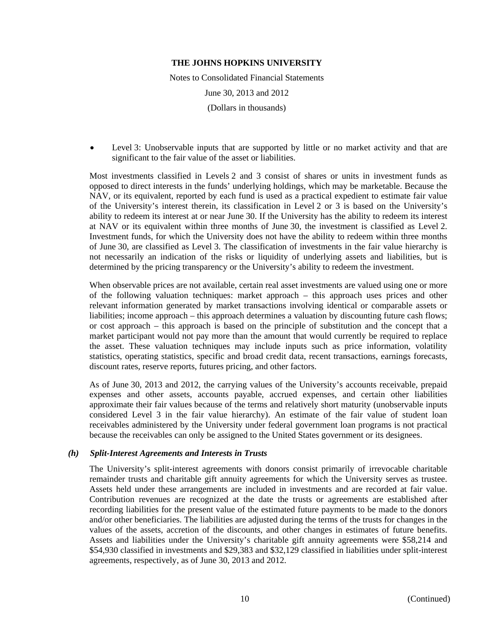Notes to Consolidated Financial Statements

June 30, 2013 and 2012

(Dollars in thousands)

 Level 3: Unobservable inputs that are supported by little or no market activity and that are significant to the fair value of the asset or liabilities.

Most investments classified in Levels 2 and 3 consist of shares or units in investment funds as opposed to direct interests in the funds' underlying holdings, which may be marketable. Because the NAV, or its equivalent, reported by each fund is used as a practical expedient to estimate fair value of the University's interest therein, its classification in Level 2 or 3 is based on the University's ability to redeem its interest at or near June 30. If the University has the ability to redeem its interest at NAV or its equivalent within three months of June 30, the investment is classified as Level 2. Investment funds, for which the University does not have the ability to redeem within three months of June 30, are classified as Level 3. The classification of investments in the fair value hierarchy is not necessarily an indication of the risks or liquidity of underlying assets and liabilities, but is determined by the pricing transparency or the University's ability to redeem the investment.

When observable prices are not available, certain real asset investments are valued using one or more of the following valuation techniques: market approach – this approach uses prices and other relevant information generated by market transactions involving identical or comparable assets or liabilities; income approach – this approach determines a valuation by discounting future cash flows; or cost approach – this approach is based on the principle of substitution and the concept that a market participant would not pay more than the amount that would currently be required to replace the asset. These valuation techniques may include inputs such as price information, volatility statistics, operating statistics, specific and broad credit data, recent transactions, earnings forecasts, discount rates, reserve reports, futures pricing, and other factors.

As of June 30, 2013 and 2012, the carrying values of the University's accounts receivable, prepaid expenses and other assets, accounts payable, accrued expenses, and certain other liabilities approximate their fair values because of the terms and relatively short maturity (unobservable inputs considered Level 3 in the fair value hierarchy). An estimate of the fair value of student loan receivables administered by the University under federal government loan programs is not practical because the receivables can only be assigned to the United States government or its designees.

#### *(h) Split-Interest Agreements and Interests in Trusts*

The University's split-interest agreements with donors consist primarily of irrevocable charitable remainder trusts and charitable gift annuity agreements for which the University serves as trustee. Assets held under these arrangements are included in investments and are recorded at fair value. Contribution revenues are recognized at the date the trusts or agreements are established after recording liabilities for the present value of the estimated future payments to be made to the donors and/or other beneficiaries. The liabilities are adjusted during the terms of the trusts for changes in the values of the assets, accretion of the discounts, and other changes in estimates of future benefits. Assets and liabilities under the University's charitable gift annuity agreements were \$58,214 and \$54,930 classified in investments and \$29,383 and \$32,129 classified in liabilities under split-interest agreements, respectively, as of June 30, 2013 and 2012.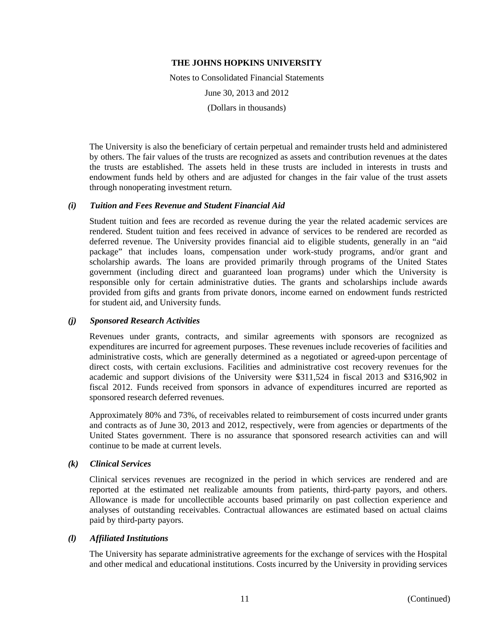Notes to Consolidated Financial Statements

June 30, 2013 and 2012

(Dollars in thousands)

The University is also the beneficiary of certain perpetual and remainder trusts held and administered by others. The fair values of the trusts are recognized as assets and contribution revenues at the dates the trusts are established. The assets held in these trusts are included in interests in trusts and endowment funds held by others and are adjusted for changes in the fair value of the trust assets through nonoperating investment return.

#### *(i) Tuition and Fees Revenue and Student Financial Aid*

Student tuition and fees are recorded as revenue during the year the related academic services are rendered. Student tuition and fees received in advance of services to be rendered are recorded as deferred revenue. The University provides financial aid to eligible students, generally in an "aid package" that includes loans, compensation under work-study programs, and/or grant and scholarship awards. The loans are provided primarily through programs of the United States government (including direct and guaranteed loan programs) under which the University is responsible only for certain administrative duties. The grants and scholarships include awards provided from gifts and grants from private donors, income earned on endowment funds restricted for student aid, and University funds.

#### *(j) Sponsored Research Activities*

Revenues under grants, contracts, and similar agreements with sponsors are recognized as expenditures are incurred for agreement purposes. These revenues include recoveries of facilities and administrative costs, which are generally determined as a negotiated or agreed-upon percentage of direct costs, with certain exclusions. Facilities and administrative cost recovery revenues for the academic and support divisions of the University were \$311,524 in fiscal 2013 and \$316,902 in fiscal 2012. Funds received from sponsors in advance of expenditures incurred are reported as sponsored research deferred revenues.

Approximately 80% and 73%, of receivables related to reimbursement of costs incurred under grants and contracts as of June 30, 2013 and 2012, respectively, were from agencies or departments of the United States government. There is no assurance that sponsored research activities can and will continue to be made at current levels.

#### *(k) Clinical Services*

Clinical services revenues are recognized in the period in which services are rendered and are reported at the estimated net realizable amounts from patients, third-party payors, and others. Allowance is made for uncollectible accounts based primarily on past collection experience and analyses of outstanding receivables. Contractual allowances are estimated based on actual claims paid by third-party payors.

# *(l) Affiliated Institutions*

The University has separate administrative agreements for the exchange of services with the Hospital and other medical and educational institutions. Costs incurred by the University in providing services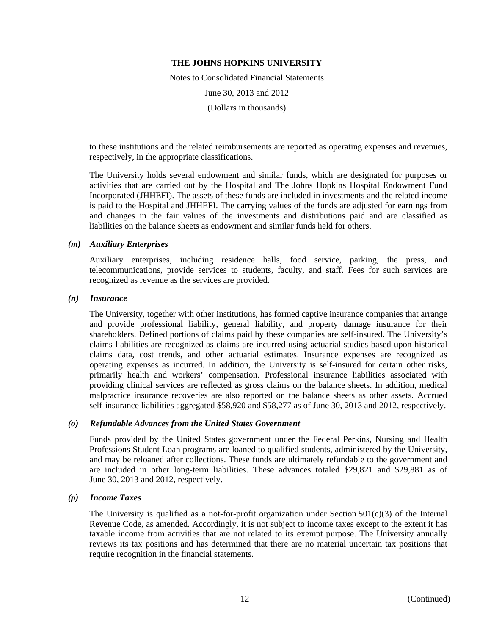Notes to Consolidated Financial Statements June 30, 2013 and 2012 (Dollars in thousands)

to these institutions and the related reimbursements are reported as operating expenses and revenues, respectively, in the appropriate classifications.

The University holds several endowment and similar funds, which are designated for purposes or activities that are carried out by the Hospital and The Johns Hopkins Hospital Endowment Fund Incorporated (JHHEFI). The assets of these funds are included in investments and the related income is paid to the Hospital and JHHEFI. The carrying values of the funds are adjusted for earnings from and changes in the fair values of the investments and distributions paid and are classified as liabilities on the balance sheets as endowment and similar funds held for others.

#### *(m) Auxiliary Enterprises*

Auxiliary enterprises, including residence halls, food service, parking, the press, and telecommunications, provide services to students, faculty, and staff. Fees for such services are recognized as revenue as the services are provided.

#### *(n) Insurance*

The University, together with other institutions, has formed captive insurance companies that arrange and provide professional liability, general liability, and property damage insurance for their shareholders. Defined portions of claims paid by these companies are self-insured. The University's claims liabilities are recognized as claims are incurred using actuarial studies based upon historical claims data, cost trends, and other actuarial estimates. Insurance expenses are recognized as operating expenses as incurred. In addition, the University is self-insured for certain other risks, primarily health and workers' compensation. Professional insurance liabilities associated with providing clinical services are reflected as gross claims on the balance sheets. In addition, medical malpractice insurance recoveries are also reported on the balance sheets as other assets. Accrued self-insurance liabilities aggregated \$58,920 and \$58,277 as of June 30, 2013 and 2012, respectively.

#### *(o) Refundable Advances from the United States Government*

Funds provided by the United States government under the Federal Perkins, Nursing and Health Professions Student Loan programs are loaned to qualified students, administered by the University, and may be reloaned after collections. These funds are ultimately refundable to the government and are included in other long-term liabilities. These advances totaled \$29,821 and \$29,881 as of June 30, 2013 and 2012, respectively.

# *(p) Income Taxes*

The University is qualified as a not-for-profit organization under Section  $501(c)(3)$  of the Internal Revenue Code, as amended. Accordingly, it is not subject to income taxes except to the extent it has taxable income from activities that are not related to its exempt purpose. The University annually reviews its tax positions and has determined that there are no material uncertain tax positions that require recognition in the financial statements.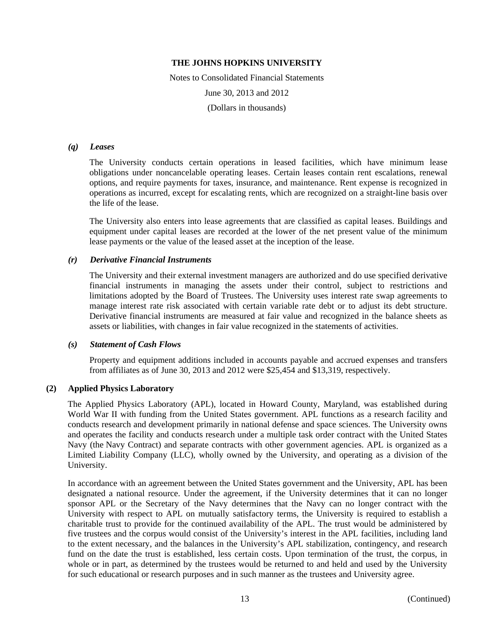Notes to Consolidated Financial Statements June 30, 2013 and 2012 (Dollars in thousands)

#### *(q) Leases*

The University conducts certain operations in leased facilities, which have minimum lease obligations under noncancelable operating leases. Certain leases contain rent escalations, renewal options, and require payments for taxes, insurance, and maintenance. Rent expense is recognized in operations as incurred, except for escalating rents, which are recognized on a straight-line basis over the life of the lease.

The University also enters into lease agreements that are classified as capital leases. Buildings and equipment under capital leases are recorded at the lower of the net present value of the minimum lease payments or the value of the leased asset at the inception of the lease.

#### *(r) Derivative Financial Instruments*

The University and their external investment managers are authorized and do use specified derivative financial instruments in managing the assets under their control, subject to restrictions and limitations adopted by the Board of Trustees. The University uses interest rate swap agreements to manage interest rate risk associated with certain variable rate debt or to adjust its debt structure. Derivative financial instruments are measured at fair value and recognized in the balance sheets as assets or liabilities, with changes in fair value recognized in the statements of activities.

#### *(s) Statement of Cash Flows*

Property and equipment additions included in accounts payable and accrued expenses and transfers from affiliates as of June 30, 2013 and 2012 were \$25,454 and \$13,319, respectively.

#### **(2) Applied Physics Laboratory**

The Applied Physics Laboratory (APL), located in Howard County, Maryland, was established during World War II with funding from the United States government. APL functions as a research facility and conducts research and development primarily in national defense and space sciences. The University owns and operates the facility and conducts research under a multiple task order contract with the United States Navy (the Navy Contract) and separate contracts with other government agencies. APL is organized as a Limited Liability Company (LLC), wholly owned by the University, and operating as a division of the University.

In accordance with an agreement between the United States government and the University, APL has been designated a national resource. Under the agreement, if the University determines that it can no longer sponsor APL or the Secretary of the Navy determines that the Navy can no longer contract with the University with respect to APL on mutually satisfactory terms, the University is required to establish a charitable trust to provide for the continued availability of the APL. The trust would be administered by five trustees and the corpus would consist of the University's interest in the APL facilities, including land to the extent necessary, and the balances in the University's APL stabilization, contingency, and research fund on the date the trust is established, less certain costs. Upon termination of the trust, the corpus, in whole or in part, as determined by the trustees would be returned to and held and used by the University for such educational or research purposes and in such manner as the trustees and University agree.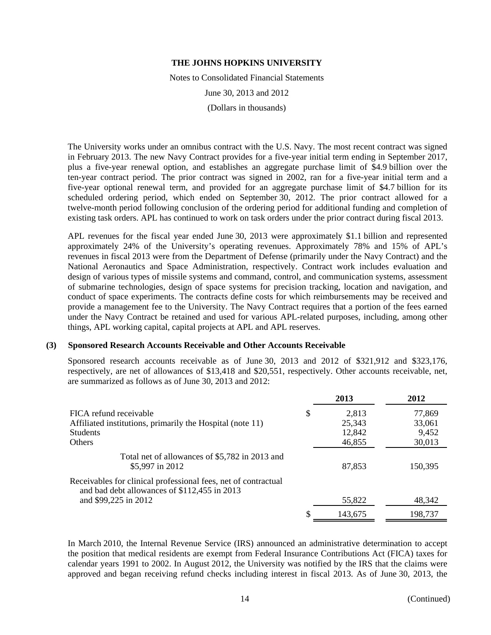Notes to Consolidated Financial Statements

June 30, 2013 and 2012

(Dollars in thousands)

The University works under an omnibus contract with the U.S. Navy. The most recent contract was signed in February 2013. The new Navy Contract provides for a five-year initial term ending in September 2017, plus a five-year renewal option, and establishes an aggregate purchase limit of \$4.9 billion over the ten-year contract period. The prior contract was signed in 2002, ran for a five-year initial term and a five-year optional renewal term, and provided for an aggregate purchase limit of \$4.7 billion for its scheduled ordering period, which ended on September 30, 2012. The prior contract allowed for a twelve-month period following conclusion of the ordering period for additional funding and completion of existing task orders. APL has continued to work on task orders under the prior contract during fiscal 2013.

APL revenues for the fiscal year ended June 30, 2013 were approximately \$1.1 billion and represented approximately 24% of the University's operating revenues. Approximately 78% and 15% of APL's revenues in fiscal 2013 were from the Department of Defense (primarily under the Navy Contract) and the National Aeronautics and Space Administration, respectively. Contract work includes evaluation and design of various types of missile systems and command, control, and communication systems, assessment of submarine technologies, design of space systems for precision tracking, location and navigation, and conduct of space experiments. The contracts define costs for which reimbursements may be received and provide a management fee to the University. The Navy Contract requires that a portion of the fees earned under the Navy Contract be retained and used for various APL-related purposes, including, among other things, APL working capital, capital projects at APL and APL reserves.

#### **(3) Sponsored Research Accounts Receivable and Other Accounts Receivable**

Sponsored research accounts receivable as of June 30, 2013 and 2012 of \$321,912 and \$323,176, respectively, are net of allowances of \$13,418 and \$20,551, respectively. Other accounts receivable, net, are summarized as follows as of June 30, 2013 and 2012:

|                                                                                                                | 2013        | 2012    |
|----------------------------------------------------------------------------------------------------------------|-------------|---------|
| FICA refund receivable                                                                                         | \$<br>2,813 | 77,869  |
| Affiliated institutions, primarily the Hospital (note 11)                                                      | 25,343      | 33,061  |
| <b>Students</b>                                                                                                | 12,842      | 9.452   |
| <b>Others</b>                                                                                                  | 46,855      | 30,013  |
| Total net of allowances of \$5,782 in 2013 and<br>\$5,997 in 2012                                              | 87,853      | 150,395 |
| Receivables for clinical professional fees, net of contractual<br>and bad debt allowances of \$112,455 in 2013 |             |         |
| and \$99,225 in 2012                                                                                           | 55,822      | 48,342  |
|                                                                                                                | 143,675     | 198,737 |

In March 2010, the Internal Revenue Service (IRS) announced an administrative determination to accept the position that medical residents are exempt from Federal Insurance Contributions Act (FICA) taxes for calendar years 1991 to 2002. In August 2012, the University was notified by the IRS that the claims were approved and began receiving refund checks including interest in fiscal 2013. As of June 30, 2013, the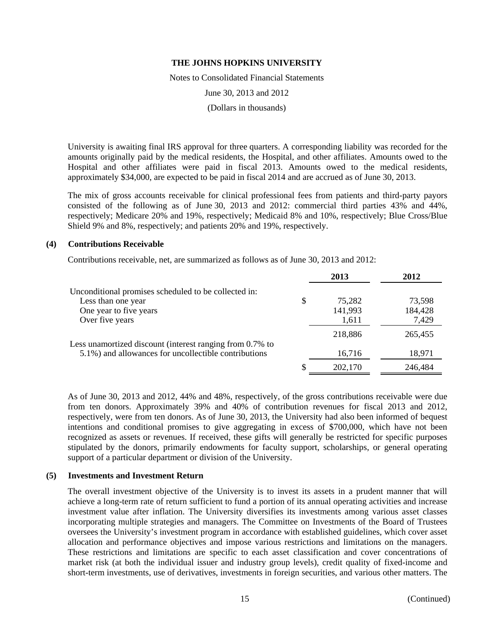Notes to Consolidated Financial Statements

June 30, 2013 and 2012

(Dollars in thousands)

University is awaiting final IRS approval for three quarters. A corresponding liability was recorded for the amounts originally paid by the medical residents, the Hospital, and other affiliates. Amounts owed to the Hospital and other affiliates were paid in fiscal 2013. Amounts owed to the medical residents, approximately \$34,000, are expected to be paid in fiscal 2014 and are accrued as of June 30, 2013.

The mix of gross accounts receivable for clinical professional fees from patients and third-party payors consisted of the following as of June 30, 2013 and 2012: commercial third parties 43% and 44%, respectively; Medicare 20% and 19%, respectively; Medicaid 8% and 10%, respectively; Blue Cross/Blue Shield 9% and 8%, respectively; and patients 20% and 19%, respectively.

#### **(4) Contributions Receivable**

Contributions receivable, net, are summarized as follows as of June 30, 2013 and 2012:

|                                                          |   | 2013    | 2012    |
|----------------------------------------------------------|---|---------|---------|
| Unconditional promises scheduled to be collected in:     |   |         |         |
| Less than one year                                       | S | 75,282  | 73,598  |
| One year to five years                                   |   | 141,993 | 184,428 |
| Over five years                                          |   | 1,611   | 7,429   |
| Less unamortized discount (interest ranging from 0.7% to |   | 218,886 | 265,455 |
| 5.1%) and allowances for uncollectible contributions     |   | 16,716  | 18,971  |
|                                                          |   | 202,170 | 246,484 |

As of June 30, 2013 and 2012, 44% and 48%, respectively, of the gross contributions receivable were due from ten donors. Approximately 39% and 40% of contribution revenues for fiscal 2013 and 2012, respectively, were from ten donors. As of June 30, 2013, the University had also been informed of bequest intentions and conditional promises to give aggregating in excess of \$700,000, which have not been recognized as assets or revenues. If received, these gifts will generally be restricted for specific purposes stipulated by the donors, primarily endowments for faculty support, scholarships, or general operating support of a particular department or division of the University.

#### **(5) Investments and Investment Return**

The overall investment objective of the University is to invest its assets in a prudent manner that will achieve a long-term rate of return sufficient to fund a portion of its annual operating activities and increase investment value after inflation. The University diversifies its investments among various asset classes incorporating multiple strategies and managers. The Committee on Investments of the Board of Trustees oversees the University's investment program in accordance with established guidelines, which cover asset allocation and performance objectives and impose various restrictions and limitations on the managers. These restrictions and limitations are specific to each asset classification and cover concentrations of market risk (at both the individual issuer and industry group levels), credit quality of fixed-income and short-term investments, use of derivatives, investments in foreign securities, and various other matters. The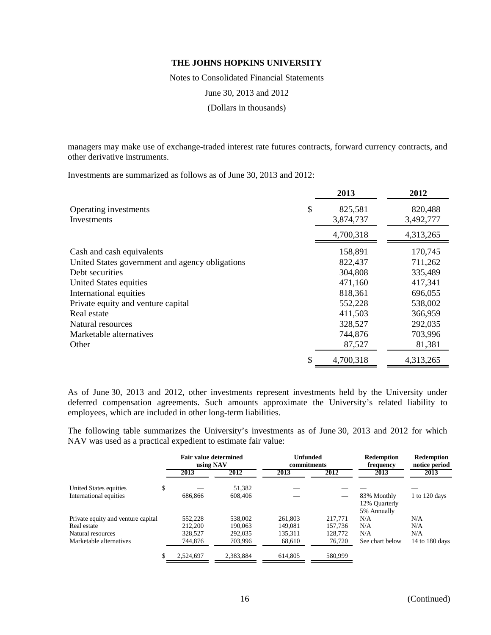Notes to Consolidated Financial Statements

June 30, 2013 and 2012

(Dollars in thousands)

managers may make use of exchange-traded interest rate futures contracts, forward currency contracts, and other derivative instruments.

Investments are summarized as follows as of June 30, 2013 and 2012:

|                                                 | 2013          | 2012      |
|-------------------------------------------------|---------------|-----------|
| Operating investments                           | \$<br>825,581 | 820,488   |
| Investments                                     | 3,874,737     | 3,492,777 |
|                                                 | 4,700,318     | 4,313,265 |
| Cash and cash equivalents                       | 158,891       | 170,745   |
| United States government and agency obligations | 822,437       | 711,262   |
| Debt securities                                 | 304,808       | 335,489   |
| United States equities                          | 471,160       | 417,341   |
| International equities                          | 818,361       | 696,055   |
| Private equity and venture capital              | 552,228       | 538,002   |
| Real estate                                     | 411,503       | 366,959   |
| Natural resources                               | 328,527       | 292,035   |
| Marketable alternatives                         | 744,876       | 703,996   |
| Other                                           | 87,527        | 81,381    |
|                                                 | 4,700,318     | 4,313,265 |

As of June 30, 2013 and 2012, other investments represent investments held by the University under deferred compensation agreements. Such amounts approximate the University's related liability to employees, which are included in other long-term liabilities.

The following table summarizes the University's investments as of June 30, 2013 and 2012 for which NAV was used as a practical expedient to estimate fair value:

|                                    |                 | <b>Fair value determined</b><br><b>Unfunded</b><br><b>Redemption</b><br>commitments<br>using NAV<br>frequency |         |         |                                             | <b>Redemption</b><br>notice period |
|------------------------------------|-----------------|---------------------------------------------------------------------------------------------------------------|---------|---------|---------------------------------------------|------------------------------------|
|                                    | 2013            | 2012                                                                                                          | 2013    | 2012    | 2013                                        | 2013                               |
| United States equities             | \$              | 51,382                                                                                                        |         |         |                                             |                                    |
| International equities             | 686,866         | 608,406                                                                                                       |         |         | 83% Monthly<br>12% Quarterly<br>5% Annually | 1 to 120 days                      |
| Private equity and venture capital | 552.228         | 538,002                                                                                                       | 261,803 | 217,771 | N/A                                         | N/A                                |
| Real estate                        | 212,200         | 190,063                                                                                                       | 149.081 | 157.736 | N/A                                         | N/A                                |
| Natural resources                  | 328,527         | 292,035                                                                                                       | 135,311 | 128,772 | N/A                                         | N/A                                |
| Marketable alternatives            | 744,876         | 703,996                                                                                                       | 68,610  | 76,720  | See chart below                             | 14 to 180 days                     |
|                                    | \$<br>2,524,697 | 2,383,884                                                                                                     | 614,805 | 580,999 |                                             |                                    |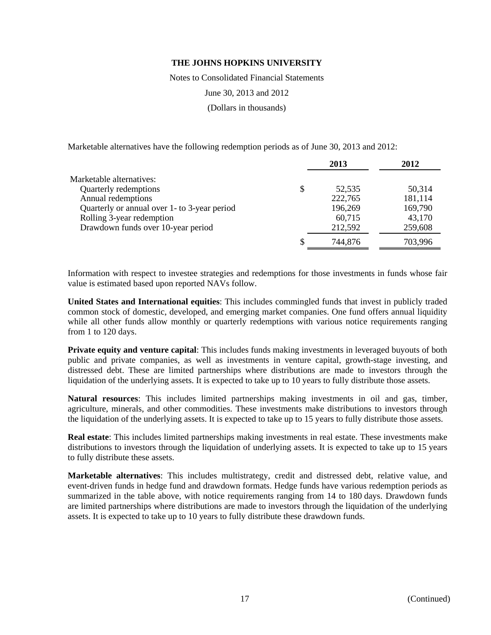Notes to Consolidated Financial Statements

June 30, 2013 and 2012

(Dollars in thousands)

Marketable alternatives have the following redemption periods as of June 30, 2013 and 2012:

|                                              |    | 2013    | 2012    |
|----------------------------------------------|----|---------|---------|
| Marketable alternatives:                     |    |         |         |
| Quarterly redemptions                        | \$ | 52.535  | 50,314  |
| Annual redemptions                           |    | 222,765 | 181,114 |
| Quarterly or annual over 1- to 3-year period |    | 196,269 | 169,790 |
| Rolling 3-year redemption                    |    | 60,715  | 43,170  |
| Drawdown funds over 10-year period           |    | 212,592 | 259,608 |
|                                              | S  | 744,876 | 703,996 |

Information with respect to investee strategies and redemptions for those investments in funds whose fair value is estimated based upon reported NAVs follow.

**United States and International equities**: This includes commingled funds that invest in publicly traded common stock of domestic, developed, and emerging market companies. One fund offers annual liquidity while all other funds allow monthly or quarterly redemptions with various notice requirements ranging from 1 to 120 days.

**Private equity and venture capital**: This includes funds making investments in leveraged buyouts of both public and private companies, as well as investments in venture capital, growth-stage investing, and distressed debt. These are limited partnerships where distributions are made to investors through the liquidation of the underlying assets. It is expected to take up to 10 years to fully distribute those assets.

**Natural resources**: This includes limited partnerships making investments in oil and gas, timber, agriculture, minerals, and other commodities. These investments make distributions to investors through the liquidation of the underlying assets. It is expected to take up to 15 years to fully distribute those assets.

**Real estate**: This includes limited partnerships making investments in real estate. These investments make distributions to investors through the liquidation of underlying assets. It is expected to take up to 15 years to fully distribute these assets.

**Marketable alternatives**: This includes multistrategy, credit and distressed debt, relative value, and event-driven funds in hedge fund and drawdown formats. Hedge funds have various redemption periods as summarized in the table above, with notice requirements ranging from 14 to 180 days. Drawdown funds are limited partnerships where distributions are made to investors through the liquidation of the underlying assets. It is expected to take up to 10 years to fully distribute these drawdown funds.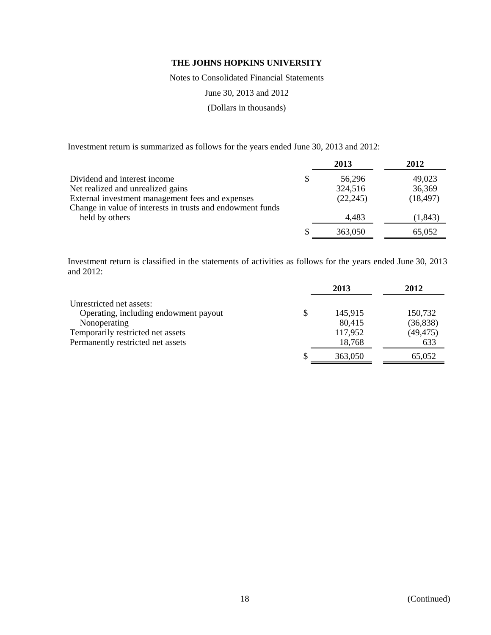Notes to Consolidated Financial Statements

June 30, 2013 and 2012

(Dollars in thousands)

Investment return is summarized as follows for the years ended June 30, 2013 and 2012:

|                                                            | 2013      | 2012      |
|------------------------------------------------------------|-----------|-----------|
| Dividend and interest income                               | 56,296    | 49,023    |
| Net realized and unrealized gains                          | 324,516   | 36,369    |
| External investment management fees and expenses           | (22, 245) | (18, 497) |
| Change in value of interests in trusts and endowment funds |           |           |
| held by others                                             | 4,483     | (1, 843)  |
|                                                            | 363,050   | 65,052    |

Investment return is classified in the statements of activities as follows for the years ended June 30, 2013 and 2012:

|                                       | 2013    | 2012      |
|---------------------------------------|---------|-----------|
| Unrestricted net assets:              |         |           |
| Operating, including endowment payout | 145,915 | 150,732   |
| Nonoperating                          | 80,415  | (36, 838) |
| Temporarily restricted net assets     | 117,952 | (49, 475) |
| Permanently restricted net assets     | 18,768  | 633       |
|                                       | 363,050 | 65,052    |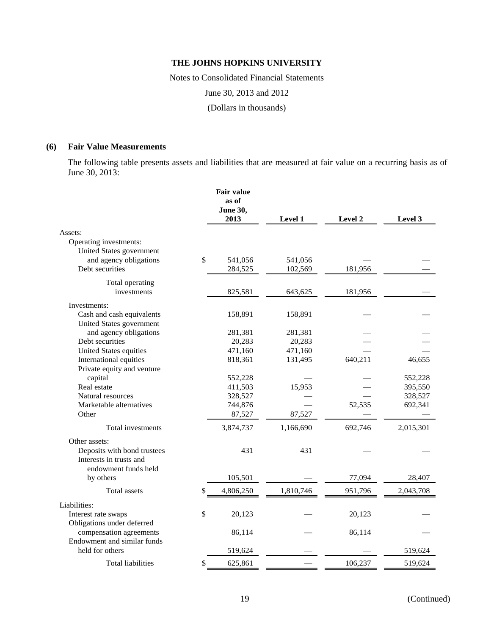Notes to Consolidated Financial Statements

June 30, 2013 and 2012

(Dollars in thousands)

# **(6) Fair Value Measurements**

The following table presents assets and liabilities that are measured at fair value on a recurring basis as of June 30, 2013:

|                             | <b>Fair value</b><br>as of<br><b>June 30,</b> |           |         |           |
|-----------------------------|-----------------------------------------------|-----------|---------|-----------|
|                             | 2013                                          | Level 1   | Level 2 | Level 3   |
| Assets:                     |                                               |           |         |           |
| Operating investments:      |                                               |           |         |           |
| United States government    |                                               |           |         |           |
| and agency obligations      | \$<br>541,056                                 | 541,056   |         |           |
| Debt securities             | 284,525                                       | 102,569   | 181,956 |           |
| Total operating             |                                               |           |         |           |
| investments                 | 825,581                                       | 643,625   | 181,956 |           |
| Investments:                |                                               |           |         |           |
| Cash and cash equivalents   | 158,891                                       | 158,891   |         |           |
| United States government    |                                               |           |         |           |
| and agency obligations      | 281,381                                       | 281,381   |         |           |
| Debt securities             | 20,283                                        | 20,283    |         |           |
| United States equities      | 471,160                                       | 471,160   |         |           |
| International equities      | 818,361                                       | 131,495   | 640,211 | 46,655    |
| Private equity and venture  |                                               |           |         |           |
| capital                     | 552,228                                       |           |         | 552,228   |
| Real estate                 | 411,503                                       | 15,953    |         | 395,550   |
| Natural resources           | 328,527                                       |           |         | 328,527   |
| Marketable alternatives     | 744,876                                       |           | 52,535  | 692,341   |
| Other                       | 87,527                                        | 87,527    |         |           |
| Total investments           | 3,874,737                                     | 1,166,690 | 692,746 | 2,015,301 |
| Other assets:               |                                               |           |         |           |
| Deposits with bond trustees | 431                                           | 431       |         |           |
| Interests in trusts and     |                                               |           |         |           |
| endowment funds held        |                                               |           |         |           |
| by others                   | 105,501                                       |           | 77,094  | 28,407    |
| <b>Total</b> assets         | \$<br>4,806,250                               | 1,810,746 | 951,796 | 2,043,708 |
| Liabilities:                |                                               |           |         |           |
| Interest rate swaps         | \$<br>20,123                                  |           | 20,123  |           |
| Obligations under deferred  |                                               |           |         |           |
| compensation agreements     | 86,114                                        |           | 86,114  |           |
| Endowment and similar funds |                                               |           |         |           |
| held for others             | 519,624                                       |           |         | 519,624   |
| <b>Total liabilities</b>    | \$<br>625,861                                 |           | 106,237 | 519,624   |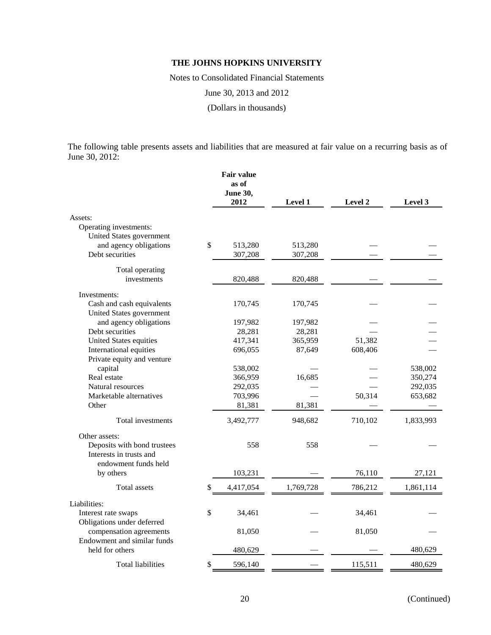Notes to Consolidated Financial Statements

June 30, 2013 and 2012

(Dollars in thousands)

The following table presents assets and liabilities that are measured at fair value on a recurring basis as of June 30, 2012:

|                                   | <b>Fair value</b><br>as of<br><b>June 30,</b><br>2012 | <b>Level 1</b> | Level 2 | Level 3   |
|-----------------------------------|-------------------------------------------------------|----------------|---------|-----------|
| Assets:                           |                                                       |                |         |           |
| Operating investments:            |                                                       |                |         |           |
| United States government          |                                                       |                |         |           |
| and agency obligations            | \$<br>513,280                                         | 513,280        |         |           |
| Debt securities                   | 307,208                                               | 307,208        |         |           |
| Total operating                   |                                                       |                |         |           |
| investments                       | 820,488                                               | 820,488        |         |           |
| Investments:                      |                                                       |                |         |           |
| Cash and cash equivalents         | 170,745                                               | 170,745        |         |           |
| United States government          |                                                       |                |         |           |
| and agency obligations            | 197,982                                               | 197,982        |         |           |
| Debt securities                   | 28,281                                                | 28,281         |         |           |
| United States equities            | 417,341                                               | 365,959        | 51,382  |           |
| International equities            | 696,055                                               | 87,649         | 608,406 |           |
| Private equity and venture        |                                                       |                |         |           |
| capital                           | 538,002                                               |                |         | 538,002   |
| Real estate                       | 366,959                                               | 16,685         |         | 350,274   |
| Natural resources                 | 292,035                                               |                |         | 292,035   |
| Marketable alternatives           | 703,996                                               |                | 50,314  | 653,682   |
| Other                             | 81,381                                                | 81,381         |         |           |
| Total investments                 | 3,492,777                                             | 948,682        | 710,102 | 1,833,993 |
| Other assets:                     |                                                       |                |         |           |
| Deposits with bond trustees       | 558                                                   | 558            |         |           |
| Interests in trusts and           |                                                       |                |         |           |
| endowment funds held<br>by others | 103,231                                               |                | 76,110  | 27,121    |
|                                   |                                                       |                |         |           |
| Total assets                      | \$<br>4,417,054                                       | 1,769,728      | 786,212 | 1,861,114 |
| Liabilities:                      |                                                       |                |         |           |
| Interest rate swaps               | \$<br>34,461                                          |                | 34,461  |           |
| Obligations under deferred        |                                                       |                |         |           |
| compensation agreements           | 81,050                                                |                | 81,050  |           |
| Endowment and similar funds       |                                                       |                |         |           |
| held for others                   | 480,629                                               |                |         | 480,629   |
| Total liabilities                 | \$<br>596,140                                         |                | 115,511 | 480,629   |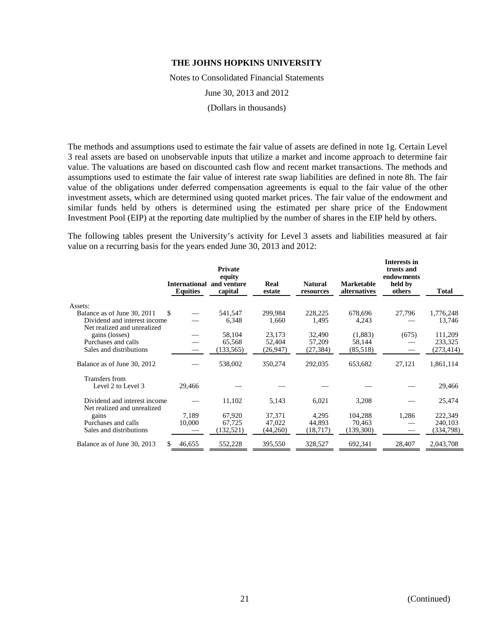Notes to Consolidated Financial Statements

June 30, 2013 and 2012

(Dollars in thousands)

The methods and assumptions used to estimate the fair value of assets are defined in note 1g. Certain Level 3 real assets are based on unobservable inputs that utilize a market and income approach to determine fair value. The valuations are based on discounted cash flow and recent market transactions. The methods and assumptions used to estimate the fair value of interest rate swap liabilities are defined in note 8h. The fair value of the obligations under deferred compensation agreements is equal to the fair value of the other investment assets, which are determined using quoted market prices. The fair value of the endowment and similar funds held by others is determined using the estimated per share price of the Endowment Investment Pool (EIP) at the reporting date multiplied by the number of shares in the EIP held by others.

The following tables present the University's activity for Level 3 assets and liabilities measured at fair value on a recurring basis for the years ended June 30, 2013 and 2012:

|                                                                                                  | <b>International</b><br><b>Equities</b> | <b>Private</b><br>equity<br>and venture<br>capital | Real<br>estate               | <b>Natural</b><br>resources  | <b>Marketable</b><br>alternatives | Interests in<br>trusts and<br>endowments<br>held by<br>others | Total                           |
|--------------------------------------------------------------------------------------------------|-----------------------------------------|----------------------------------------------------|------------------------------|------------------------------|-----------------------------------|---------------------------------------------------------------|---------------------------------|
| Assets:                                                                                          |                                         |                                                    |                              |                              |                                   |                                                               |                                 |
| Balance as of June 30, 2011<br>-S<br>Dividend and interest income<br>Net realized and unrealized |                                         | 541,547<br>6,348                                   | 299,984<br>1,660             | 228,225<br>1,495             | 678,696<br>4,243                  | 27,796                                                        | 1,776,248<br>13,746             |
| gains (losses)                                                                                   |                                         | 58,104                                             | 23,173                       | 32,490                       | (1,883)                           | (675)                                                         | 111,209                         |
| Purchases and calls<br>Sales and distributions                                                   |                                         | 65,568<br>(133, 565)                               | 52,404<br>(26, 947)          | 57,209<br>(27, 384)          | 58,144<br>(85,518)                |                                                               | 233,325<br>(273, 414)           |
| Balance as of June 30, 2012                                                                      |                                         | 538,002                                            | 350,274                      | 292,035                      | 653,682                           | 27,121                                                        | 1,861,114                       |
| Transfers from<br>Level 2 to Level 3                                                             | 29,466                                  |                                                    |                              |                              |                                   |                                                               | 29,466                          |
| Dividend and interest income<br>Net realized and unrealized                                      |                                         | 11,102                                             | 5,143                        | 6,021                        | 3,208                             |                                                               | 25,474                          |
| gains<br>Purchases and calls<br>Sales and distributions                                          | 7,189<br>10,000                         | 67,920<br>67,725<br>(132, 521)                     | 37,371<br>47,022<br>(44,260) | 4,295<br>44,893<br>(18, 717) | 104,288<br>70,463<br>(139,300)    | 1,286                                                         | 222,349<br>240,103<br>(334,798) |
| Balance as of June 30, 2013<br>\$.                                                               | 46,655                                  | 552,228                                            | 395,550                      | 328,527                      | 692,341                           | 28,407                                                        | 2,043,708                       |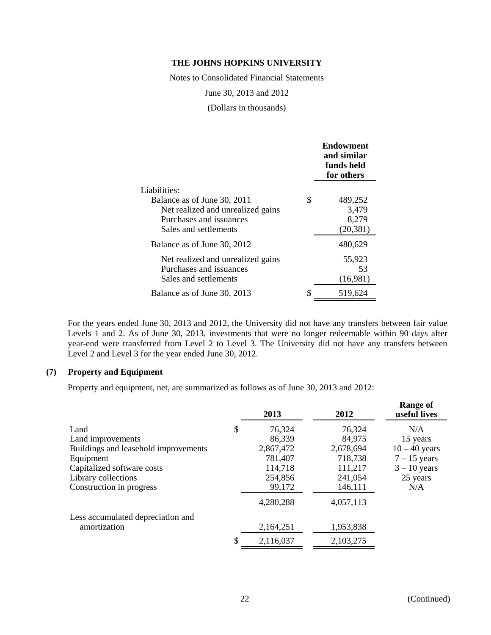Notes to Consolidated Financial Statements

# June 30, 2013 and 2012

(Dollars in thousands)

|                                   | <b>Endowment</b><br>and similar<br>funds held<br>for others |
|-----------------------------------|-------------------------------------------------------------|
| Liabilities:                      |                                                             |
| Balance as of June 30, 2011       | \$<br>489,252                                               |
| Net realized and unrealized gains | 3,479                                                       |
| Purchases and issuances           | 8,279                                                       |
| Sales and settlements             | (20, 381)                                                   |
| Balance as of June 30, 2012       | 480,629                                                     |
| Net realized and unrealized gains | 55,923                                                      |
| Purchases and issuances           | 53                                                          |
| Sales and settlements             | (16,981)                                                    |
| Balance as of June 30, 2013       | \$<br>519,624                                               |

For the years ended June 30, 2013 and 2012, the University did not have any transfers between fair value Levels 1 and 2. As of June 30, 2013, investments that were no longer redeemable within 90 days after year-end were transferred from Level 2 to Level 3. The University did not have any transfers between Level 2 and Level 3 for the year ended June 30, 2012.

# **(7) Property and Equipment**

Property and equipment, net, are summarized as follows as of June 30, 2013 and 2012:

|                                      | 2013            | 2012      | <b>Range of</b><br>useful lives |
|--------------------------------------|-----------------|-----------|---------------------------------|
| Land                                 | \$<br>76,324    | 76,324    | N/A                             |
| Land improvements                    | 86,339          | 84,975    | 15 years                        |
| Buildings and leasehold improvements | 2,867,472       | 2,678,694 | $10 - 40$ years                 |
| Equipment                            | 781,407         | 718,738   | $7 - 15$ years                  |
| Capitalized software costs           | 114,718         | 111,217   | $3 - 10$ years                  |
| Library collections                  | 254,856         | 241,054   | 25 years                        |
| Construction in progress             | 99,172          | 146,111   | N/A                             |
|                                      | 4,280,288       | 4,057,113 |                                 |
| Less accumulated depreciation and    |                 |           |                                 |
| amortization                         | 2,164,251       | 1,953,838 |                                 |
|                                      | \$<br>2,116,037 | 2,103,275 |                                 |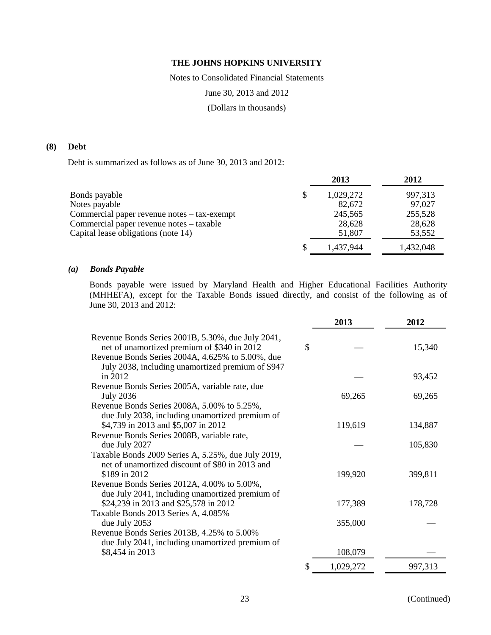Notes to Consolidated Financial Statements

June 30, 2013 and 2012

#### (Dollars in thousands)

#### **(8) Debt**

Debt is summarized as follows as of June 30, 2013 and 2012:

|                                             | 2013      | 2012      |
|---------------------------------------------|-----------|-----------|
| Bonds payable                               | 1,029,272 | 997,313   |
| Notes payable                               | 82,672    | 97,027    |
| Commercial paper revenue notes – tax-exempt | 245,565   | 255,528   |
| Commercial paper revenue notes – taxable    | 28,628    | 28,628    |
| Capital lease obligations (note 14)         | 51,807    | 53,552    |
|                                             | 1,437,944 | 1,432,048 |

#### *(a) Bonds Payable*

Bonds payable were issued by Maryland Health and Higher Educational Facilities Authority (MHHEFA), except for the Taxable Bonds issued directly, and consist of the following as of June 30, 2013 and 2012:

|                                                                                                                                                                                                           | 2013            | 2012    |
|-----------------------------------------------------------------------------------------------------------------------------------------------------------------------------------------------------------|-----------------|---------|
| Revenue Bonds Series 2001B, 5.30%, due July 2041,<br>net of unamortized premium of \$340 in 2012<br>Revenue Bonds Series 2004A, 4.625% to 5.00%, due<br>July 2038, including unamortized premium of \$947 | \$              | 15,340  |
| in 2012                                                                                                                                                                                                   |                 | 93,452  |
| Revenue Bonds Series 2005A, variable rate, due                                                                                                                                                            |                 |         |
| <b>July 2036</b>                                                                                                                                                                                          | 69,265          | 69,265  |
| Revenue Bonds Series 2008A, 5.00% to 5.25%,                                                                                                                                                               |                 |         |
| due July 2038, including unamortized premium of                                                                                                                                                           |                 |         |
| \$4,739 in 2013 and \$5,007 in 2012                                                                                                                                                                       | 119,619         | 134,887 |
| Revenue Bonds Series 2008B, variable rate,<br>due July 2027                                                                                                                                               |                 | 105,830 |
| Taxable Bonds 2009 Series A, 5.25%, due July 2019,                                                                                                                                                        |                 |         |
| net of unamortized discount of \$80 in 2013 and                                                                                                                                                           |                 |         |
| \$189 in 2012                                                                                                                                                                                             | 199,920         | 399,811 |
| Revenue Bonds Series 2012A, 4.00% to 5.00%,                                                                                                                                                               |                 |         |
| due July 2041, including unamortized premium of                                                                                                                                                           |                 |         |
| \$24,239 in 2013 and \$25,578 in 2012                                                                                                                                                                     | 177,389         | 178,728 |
| Taxable Bonds 2013 Series A, 4.085%                                                                                                                                                                       |                 |         |
| due July 2053                                                                                                                                                                                             | 355,000         |         |
| Revenue Bonds Series 2013B, 4.25% to 5.00%                                                                                                                                                                |                 |         |
| due July 2041, including unamortized premium of                                                                                                                                                           |                 |         |
| \$8,454 in 2013                                                                                                                                                                                           | 108,079         |         |
|                                                                                                                                                                                                           | \$<br>1,029,272 | 997,313 |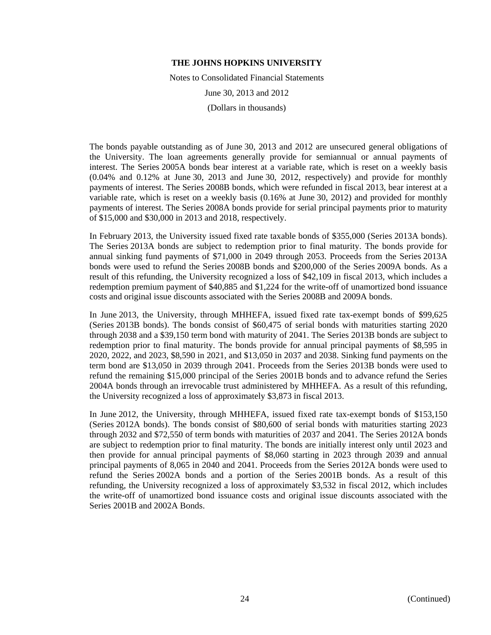Notes to Consolidated Financial Statements

June 30, 2013 and 2012

(Dollars in thousands)

The bonds payable outstanding as of June 30, 2013 and 2012 are unsecured general obligations of the University. The loan agreements generally provide for semiannual or annual payments of interest. The Series 2005A bonds bear interest at a variable rate, which is reset on a weekly basis (0.04% and 0.12% at June 30, 2013 and June 30, 2012, respectively) and provide for monthly payments of interest. The Series 2008B bonds, which were refunded in fiscal 2013, bear interest at a variable rate, which is reset on a weekly basis (0.16% at June 30, 2012) and provided for monthly payments of interest. The Series 2008A bonds provide for serial principal payments prior to maturity of \$15,000 and \$30,000 in 2013 and 2018, respectively.

In February 2013, the University issued fixed rate taxable bonds of \$355,000 (Series 2013A bonds). The Series 2013A bonds are subject to redemption prior to final maturity. The bonds provide for annual sinking fund payments of \$71,000 in 2049 through 2053. Proceeds from the Series 2013A bonds were used to refund the Series 2008B bonds and \$200,000 of the Series 2009A bonds. As a result of this refunding, the University recognized a loss of \$42,109 in fiscal 2013, which includes a redemption premium payment of \$40,885 and \$1,224 for the write-off of unamortized bond issuance costs and original issue discounts associated with the Series 2008B and 2009A bonds.

In June 2013, the University, through MHHEFA, issued fixed rate tax-exempt bonds of \$99,625 (Series 2013B bonds). The bonds consist of \$60,475 of serial bonds with maturities starting 2020 through 2038 and a \$39,150 term bond with maturity of 2041. The Series 2013B bonds are subject to redemption prior to final maturity. The bonds provide for annual principal payments of \$8,595 in 2020, 2022, and 2023, \$8,590 in 2021, and \$13,050 in 2037 and 2038. Sinking fund payments on the term bond are \$13,050 in 2039 through 2041. Proceeds from the Series 2013B bonds were used to refund the remaining \$15,000 principal of the Series 2001B bonds and to advance refund the Series 2004A bonds through an irrevocable trust administered by MHHEFA. As a result of this refunding, the University recognized a loss of approximately \$3,873 in fiscal 2013.

In June 2012, the University, through MHHEFA, issued fixed rate tax-exempt bonds of \$153,150 (Series 2012A bonds). The bonds consist of \$80,600 of serial bonds with maturities starting 2023 through 2032 and \$72,550 of term bonds with maturities of 2037 and 2041. The Series 2012A bonds are subject to redemption prior to final maturity. The bonds are initially interest only until 2023 and then provide for annual principal payments of \$8,060 starting in 2023 through 2039 and annual principal payments of 8,065 in 2040 and 2041. Proceeds from the Series 2012A bonds were used to refund the Series 2002A bonds and a portion of the Series 2001B bonds. As a result of this refunding, the University recognized a loss of approximately \$3,532 in fiscal 2012, which includes the write-off of unamortized bond issuance costs and original issue discounts associated with the Series 2001B and 2002A Bonds.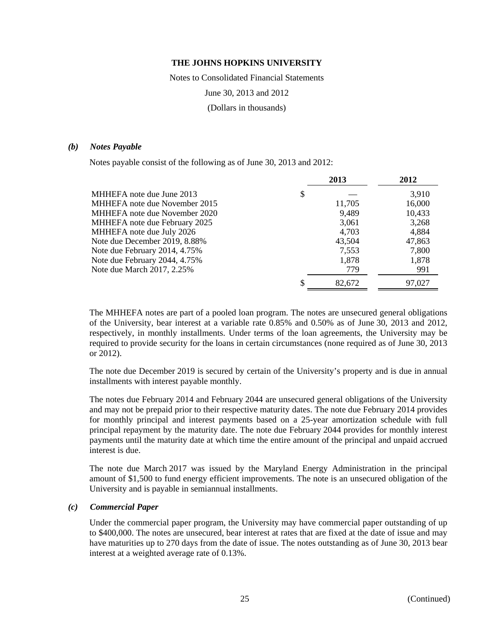Notes to Consolidated Financial Statements

June 30, 2013 and 2012

(Dollars in thousands)

#### *(b) Notes Payable*

Notes payable consist of the following as of June 30, 2013 and 2012:

| 2013   | 2012   |
|--------|--------|
| \$     | 3,910  |
| 11,705 | 16,000 |
| 9.489  | 10,433 |
| 3.061  | 3,268  |
| 4.703  | 4,884  |
| 43,504 | 47,863 |
| 7,553  | 7,800  |
| 1,878  | 1,878  |
| 779    | 991    |
| 82,672 | 97,027 |
|        |        |

The MHHEFA notes are part of a pooled loan program. The notes are unsecured general obligations of the University, bear interest at a variable rate 0.85% and 0.50% as of June 30, 2013 and 2012, respectively, in monthly installments. Under terms of the loan agreements, the University may be required to provide security for the loans in certain circumstances (none required as of June 30, 2013 or 2012).

The note due December 2019 is secured by certain of the University's property and is due in annual installments with interest payable monthly.

The notes due February 2014 and February 2044 are unsecured general obligations of the University and may not be prepaid prior to their respective maturity dates. The note due February 2014 provides for monthly principal and interest payments based on a 25-year amortization schedule with full principal repayment by the maturity date. The note due February 2044 provides for monthly interest payments until the maturity date at which time the entire amount of the principal and unpaid accrued interest is due.

The note due March 2017 was issued by the Maryland Energy Administration in the principal amount of \$1,500 to fund energy efficient improvements. The note is an unsecured obligation of the University and is payable in semiannual installments.

#### *(c) Commercial Paper*

Under the commercial paper program, the University may have commercial paper outstanding of up to \$400,000. The notes are unsecured, bear interest at rates that are fixed at the date of issue and may have maturities up to 270 days from the date of issue. The notes outstanding as of June 30, 2013 bear interest at a weighted average rate of 0.13%.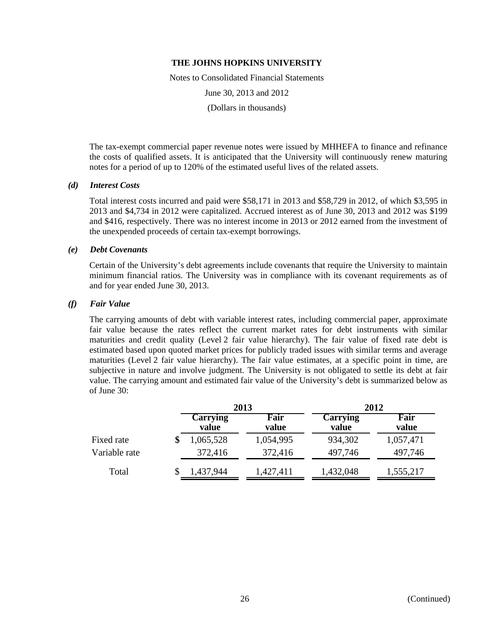Notes to Consolidated Financial Statements

June 30, 2013 and 2012

(Dollars in thousands)

The tax-exempt commercial paper revenue notes were issued by MHHEFA to finance and refinance the costs of qualified assets. It is anticipated that the University will continuously renew maturing notes for a period of up to 120% of the estimated useful lives of the related assets.

#### *(d) Interest Costs*

Total interest costs incurred and paid were \$58,171 in 2013 and \$58,729 in 2012, of which \$3,595 in 2013 and \$4,734 in 2012 were capitalized. Accrued interest as of June 30, 2013 and 2012 was \$199 and \$416, respectively. There was no interest income in 2013 or 2012 earned from the investment of the unexpended proceeds of certain tax-exempt borrowings.

#### *(e) Debt Covenants*

Certain of the University's debt agreements include covenants that require the University to maintain minimum financial ratios. The University was in compliance with its covenant requirements as of and for year ended June 30, 2013.

# *(f) Fair Value*

The carrying amounts of debt with variable interest rates, including commercial paper, approximate fair value because the rates reflect the current market rates for debt instruments with similar maturities and credit quality (Level 2 fair value hierarchy). The fair value of fixed rate debt is estimated based upon quoted market prices for publicly traded issues with similar terms and average maturities (Level 2 fair value hierarchy). The fair value estimates, at a specific point in time, are subjective in nature and involve judgment. The University is not obligated to settle its debt at fair value. The carrying amount and estimated fair value of the University's debt is summarized below as of June 30:

|               |                          | 2013          |                          | 2012          |
|---------------|--------------------------|---------------|--------------------------|---------------|
|               | <b>Carrying</b><br>value | Fair<br>value | <b>Carrying</b><br>value | Fair<br>value |
| Fixed rate    | \$<br>1,065,528          | 1,054,995     | 934,302                  | 1,057,471     |
| Variable rate | 372,416                  | 372,416       | 497,746                  | 497,746       |
| Total         | \$<br>1,437,944          | 1,427,411     | 1,432,048                | 1,555,217     |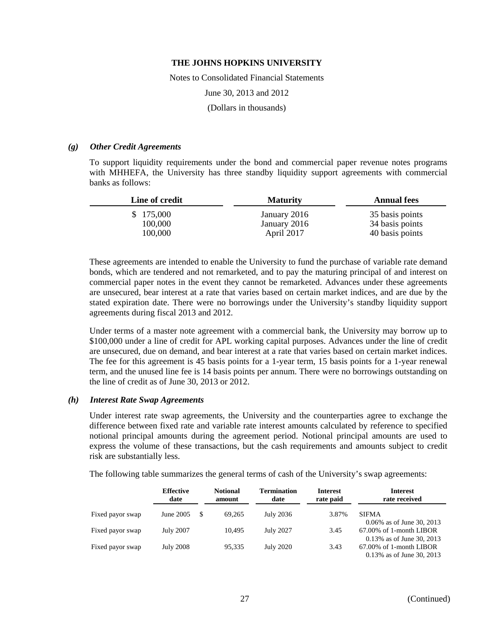Notes to Consolidated Financial Statements

June 30, 2013 and 2012

(Dollars in thousands)

#### *(g) Other Credit Agreements*

To support liquidity requirements under the bond and commercial paper revenue notes programs with MHHEFA, the University has three standby liquidity support agreements with commercial banks as follows:

| Line of credit | <b>Maturity</b> | <b>Annual fees</b> |
|----------------|-----------------|--------------------|
| \$175,000      | January 2016    | 35 basis points    |
| 100,000        | January 2016    | 34 basis points    |
| 100,000        | April 2017      | 40 basis points    |

These agreements are intended to enable the University to fund the purchase of variable rate demand bonds, which are tendered and not remarketed, and to pay the maturing principal of and interest on commercial paper notes in the event they cannot be remarketed. Advances under these agreements are unsecured, bear interest at a rate that varies based on certain market indices, and are due by the stated expiration date. There were no borrowings under the University's standby liquidity support agreements during fiscal 2013 and 2012.

Under terms of a master note agreement with a commercial bank, the University may borrow up to \$100,000 under a line of credit for APL working capital purposes. Advances under the line of credit are unsecured, due on demand, and bear interest at a rate that varies based on certain market indices. The fee for this agreement is 45 basis points for a 1-year term, 15 basis points for a 1-year renewal term, and the unused line fee is 14 basis points per annum. There were no borrowings outstanding on the line of credit as of June 30, 2013 or 2012.

#### *(h) Interest Rate Swap Agreements*

Under interest rate swap agreements, the University and the counterparties agree to exchange the difference between fixed rate and variable rate interest amounts calculated by reference to specified notional principal amounts during the agreement period. Notional principal amounts are used to express the volume of these transactions, but the cash requirements and amounts subject to credit risk are substantially less.

The following table summarizes the general terms of cash of the University's swap agreements:

|                  | <b>Effective</b><br>date |     | <b>Notional</b><br>amount | <b>Termination</b><br>date | <b>Interest</b><br>rate paid | <b>Interest</b><br>rate received                     |
|------------------|--------------------------|-----|---------------------------|----------------------------|------------------------------|------------------------------------------------------|
| Fixed payor swap | June 2005                | \$. | 69.265                    | July 2036                  | 3.87%                        | <b>SIFMA</b><br>0.06% as of June 30, 2013            |
| Fixed payor swap | <b>July 2007</b>         |     | 10.495                    | <b>July 2027</b>           | 3.45                         | 67.00% of 1-month LIBOR<br>0.13% as of June 30, 2013 |
| Fixed payor swap | <b>July 2008</b>         |     | 95.335                    | <b>July 2020</b>           | 3.43                         | 67.00% of 1-month LIBOR<br>0.13% as of June 30, 2013 |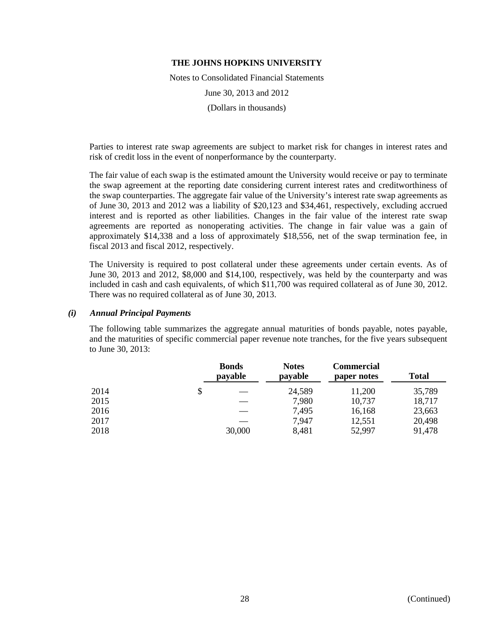Notes to Consolidated Financial Statements

June 30, 2013 and 2012

(Dollars in thousands)

Parties to interest rate swap agreements are subject to market risk for changes in interest rates and risk of credit loss in the event of nonperformance by the counterparty.

The fair value of each swap is the estimated amount the University would receive or pay to terminate the swap agreement at the reporting date considering current interest rates and creditworthiness of the swap counterparties. The aggregate fair value of the University's interest rate swap agreements as of June 30, 2013 and 2012 was a liability of \$20,123 and \$34,461, respectively, excluding accrued interest and is reported as other liabilities. Changes in the fair value of the interest rate swap agreements are reported as nonoperating activities. The change in fair value was a gain of approximately \$14,338 and a loss of approximately \$18,556, net of the swap termination fee, in fiscal 2013 and fiscal 2012, respectively.

The University is required to post collateral under these agreements under certain events. As of June 30, 2013 and 2012, \$8,000 and \$14,100, respectively, was held by the counterparty and was included in cash and cash equivalents, of which \$11,700 was required collateral as of June 30, 2012. There was no required collateral as of June 30, 2013.

#### *(i) Annual Principal Payments*

The following table summarizes the aggregate annual maturities of bonds payable, notes payable, and the maturities of specific commercial paper revenue note tranches, for the five years subsequent to June 30, 2013:

|      | <b>Bonds</b><br>payable | <b>Notes</b><br>payable | <b>Commercial</b><br>paper notes | <b>Total</b> |
|------|-------------------------|-------------------------|----------------------------------|--------------|
| 2014 | \$                      | 24,589                  | 11,200                           | 35,789       |
| 2015 |                         | 7,980                   | 10,737                           | 18,717       |
| 2016 |                         | 7,495                   | 16,168                           | 23,663       |
| 2017 |                         | 7,947                   | 12,551                           | 20,498       |
| 2018 | 30,000                  | 8,481                   | 52,997                           | 91,478       |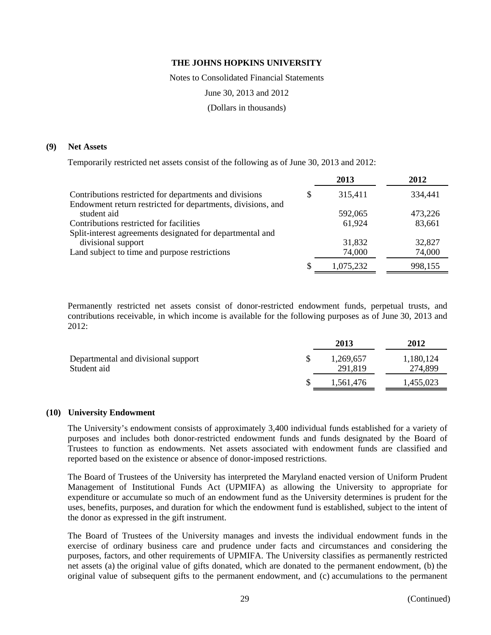Notes to Consolidated Financial Statements

June 30, 2013 and 2012

(Dollars in thousands)

#### **(9) Net Assets**

Temporarily restricted net assets consist of the following as of June 30, 2013 and 2012:

|                                                             |   | 2013      | 2012    |
|-------------------------------------------------------------|---|-----------|---------|
| Contributions restricted for departments and divisions      | S | 315,411   | 334,441 |
| Endowment return restricted for departments, divisions, and |   |           |         |
| student aid                                                 |   | 592,065   | 473,226 |
| Contributions restricted for facilities                     |   | 61,924    | 83,661  |
| Split-interest agreements designated for departmental and   |   |           |         |
| divisional support                                          |   | 31,832    | 32,827  |
| Land subject to time and purpose restrictions               |   | 74,000    | 74,000  |
|                                                             |   | 1,075,232 | 998,155 |

Permanently restricted net assets consist of donor-restricted endowment funds, perpetual trusts, and contributions receivable, in which income is available for the following purposes as of June 30, 2013 and 2012:

|                                                    | 2013                 | 2012                 |
|----------------------------------------------------|----------------------|----------------------|
| Departmental and divisional support<br>Student aid | 1,269,657<br>291,819 | 1,180,124<br>274,899 |
|                                                    | 1,561,476            | 1,455,023            |

#### **(10) University Endowment**

The University's endowment consists of approximately 3,400 individual funds established for a variety of purposes and includes both donor-restricted endowment funds and funds designated by the Board of Trustees to function as endowments. Net assets associated with endowment funds are classified and reported based on the existence or absence of donor-imposed restrictions.

The Board of Trustees of the University has interpreted the Maryland enacted version of Uniform Prudent Management of Institutional Funds Act (UPMIFA) as allowing the University to appropriate for expenditure or accumulate so much of an endowment fund as the University determines is prudent for the uses, benefits, purposes, and duration for which the endowment fund is established, subject to the intent of the donor as expressed in the gift instrument.

The Board of Trustees of the University manages and invests the individual endowment funds in the exercise of ordinary business care and prudence under facts and circumstances and considering the purposes, factors, and other requirements of UPMIFA. The University classifies as permanently restricted net assets (a) the original value of gifts donated, which are donated to the permanent endowment, (b) the original value of subsequent gifts to the permanent endowment, and (c) accumulations to the permanent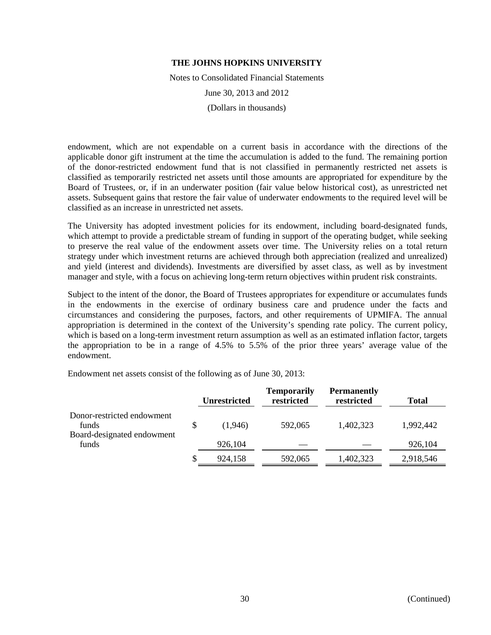Notes to Consolidated Financial Statements

June 30, 2013 and 2012

(Dollars in thousands)

endowment, which are not expendable on a current basis in accordance with the directions of the applicable donor gift instrument at the time the accumulation is added to the fund. The remaining portion of the donor-restricted endowment fund that is not classified in permanently restricted net assets is classified as temporarily restricted net assets until those amounts are appropriated for expenditure by the Board of Trustees, or, if in an underwater position (fair value below historical cost), as unrestricted net assets. Subsequent gains that restore the fair value of underwater endowments to the required level will be classified as an increase in unrestricted net assets.

The University has adopted investment policies for its endowment, including board-designated funds, which attempt to provide a predictable stream of funding in support of the operating budget, while seeking to preserve the real value of the endowment assets over time. The University relies on a total return strategy under which investment returns are achieved through both appreciation (realized and unrealized) and yield (interest and dividends). Investments are diversified by asset class, as well as by investment manager and style, with a focus on achieving long-term return objectives within prudent risk constraints.

Subject to the intent of the donor, the Board of Trustees appropriates for expenditure or accumulates funds in the endowments in the exercise of ordinary business care and prudence under the facts and circumstances and considering the purposes, factors, and other requirements of UPMIFA. The annual appropriation is determined in the context of the University's spending rate policy. The current policy, which is based on a long-term investment return assumption as well as an estimated inflation factor, targets the appropriation to be in a range of 4.5% to 5.5% of the prior three years' average value of the endowment.

Endowment net assets consist of the following as of June 30, 2013:

|                                                                   | <b>Unrestricted</b> | <b>Temporarily</b><br>restricted | <b>Permanently</b><br>restricted | <b>Total</b> |
|-------------------------------------------------------------------|---------------------|----------------------------------|----------------------------------|--------------|
| Donor-restricted endowment<br>funds<br>Board-designated endowment | (1.946)             | 592,065                          | 1,402,323                        | 1,992,442    |
| funds                                                             | 926,104             |                                  |                                  | 926,104      |
|                                                                   | 924,158             | 592,065                          | 1,402,323                        | 2,918,546    |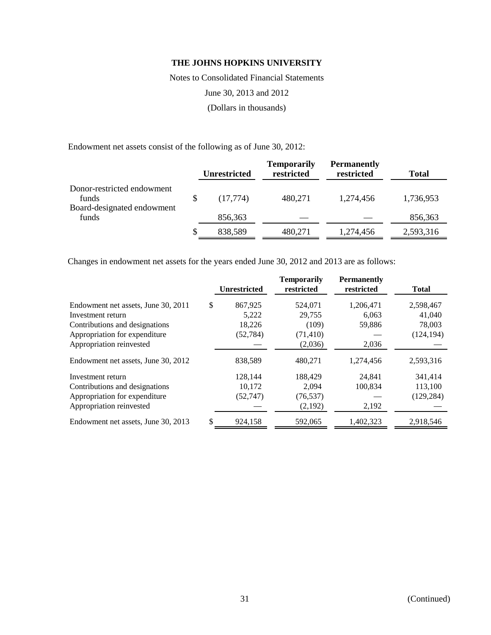Notes to Consolidated Financial Statements

June 30, 2013 and 2012

(Dollars in thousands)

Endowment net assets consist of the following as of June 30, 2012:

|                                                                   | <b>Unrestricted</b> | <b>Temporarily</b><br>restricted | <b>Permanently</b><br>restricted | <b>Total</b> |
|-------------------------------------------------------------------|---------------------|----------------------------------|----------------------------------|--------------|
| Donor-restricted endowment<br>funds<br>Board-designated endowment | (17,774)            | 480,271                          | 1,274,456                        | 1,736,953    |
| funds                                                             | 856,363             |                                  |                                  | 856,363      |
|                                                                   | 838,589             | 480,271                          | 1,274,456                        | 2,593,316    |

Changes in endowment net assets for the years ended June 30, 2012 and 2013 are as follows:

| <b>Unrestricted</b> | <b>Temporarily</b><br>restricted | <b>Permanently</b><br>restricted | <b>Total</b> |
|---------------------|----------------------------------|----------------------------------|--------------|
| 867,925             | 524,071                          | 1,206,471                        | 2,598,467    |
| 5,222               | 29,755                           | 6,063                            | 41,040       |
| 18,226              | (109)                            | 59,886                           | 78,003       |
| (52, 784)           | (71, 410)                        |                                  | (124, 194)   |
|                     | (2,036)                          | 2,036                            |              |
| 838.589             | 480.271                          | 1,274,456                        | 2,593,316    |
| 128.144             | 188,429                          | 24,841                           | 341,414      |
| 10,172              | 2,094                            | 100,834                          | 113,100      |
| (52, 747)           | (76, 537)                        |                                  | (129, 284)   |
|                     | (2,192)                          | 2,192                            |              |
| 924,158             | 592,065                          | 1,402,323                        | 2,918,546    |
|                     |                                  |                                  |              |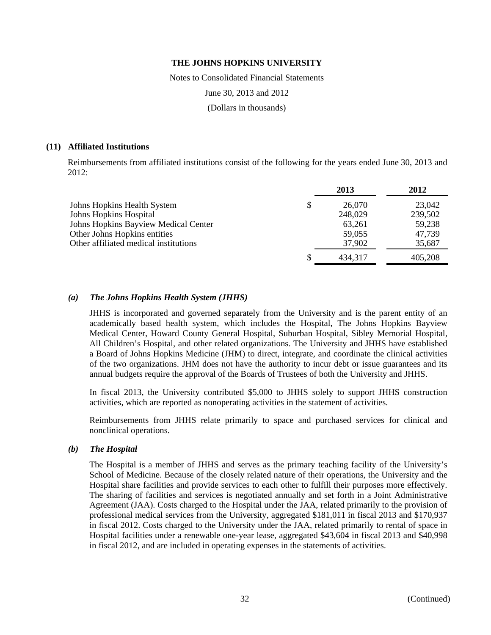Notes to Consolidated Financial Statements

June 30, 2013 and 2012

(Dollars in thousands)

#### **(11) Affiliated Institutions**

Reimbursements from affiliated institutions consist of the following for the years ended June 30, 2013 and 2012:

|                                       | 2013    | 2012    |
|---------------------------------------|---------|---------|
| Johns Hopkins Health System           | 26,070  | 23,042  |
| <b>Johns Hopkins Hospital</b>         | 248,029 | 239,502 |
| Johns Hopkins Bayview Medical Center  | 63,261  | 59,238  |
| Other Johns Hopkins entities          | 59,055  | 47,739  |
| Other affiliated medical institutions | 37,902  | 35,687  |
|                                       | 434,317 | 405,208 |

#### *(a) The Johns Hopkins Health System (JHHS)*

JHHS is incorporated and governed separately from the University and is the parent entity of an academically based health system, which includes the Hospital, The Johns Hopkins Bayview Medical Center, Howard County General Hospital, Suburban Hospital, Sibley Memorial Hospital, All Children's Hospital, and other related organizations. The University and JHHS have established a Board of Johns Hopkins Medicine (JHM) to direct, integrate, and coordinate the clinical activities of the two organizations. JHM does not have the authority to incur debt or issue guarantees and its annual budgets require the approval of the Boards of Trustees of both the University and JHHS.

In fiscal 2013, the University contributed \$5,000 to JHHS solely to support JHHS construction activities, which are reported as nonoperating activities in the statement of activities.

Reimbursements from JHHS relate primarily to space and purchased services for clinical and nonclinical operations.

#### *(b) The Hospital*

The Hospital is a member of JHHS and serves as the primary teaching facility of the University's School of Medicine. Because of the closely related nature of their operations, the University and the Hospital share facilities and provide services to each other to fulfill their purposes more effectively. The sharing of facilities and services is negotiated annually and set forth in a Joint Administrative Agreement (JAA). Costs charged to the Hospital under the JAA, related primarily to the provision of professional medical services from the University, aggregated \$181,011 in fiscal 2013 and \$170,937 in fiscal 2012. Costs charged to the University under the JAA, related primarily to rental of space in Hospital facilities under a renewable one-year lease, aggregated \$43,604 in fiscal 2013 and \$40,998 in fiscal 2012, and are included in operating expenses in the statements of activities.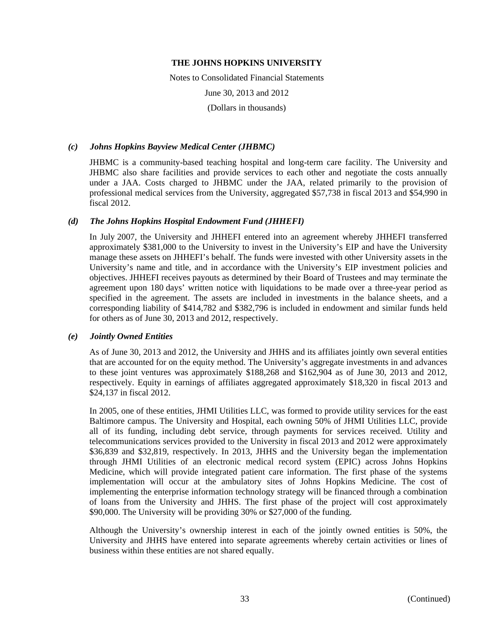Notes to Consolidated Financial Statements

June 30, 2013 and 2012

(Dollars in thousands)

#### *(c) Johns Hopkins Bayview Medical Center (JHBMC)*

JHBMC is a community-based teaching hospital and long-term care facility. The University and JHBMC also share facilities and provide services to each other and negotiate the costs annually under a JAA. Costs charged to JHBMC under the JAA, related primarily to the provision of professional medical services from the University, aggregated \$57,738 in fiscal 2013 and \$54,990 in fiscal 2012.

### *(d) The Johns Hopkins Hospital Endowment Fund (JHHEFI)*

In July 2007, the University and JHHEFI entered into an agreement whereby JHHEFI transferred approximately \$381,000 to the University to invest in the University's EIP and have the University manage these assets on JHHEFI's behalf. The funds were invested with other University assets in the University's name and title, and in accordance with the University's EIP investment policies and objectives. JHHEFI receives payouts as determined by their Board of Trustees and may terminate the agreement upon 180 days' written notice with liquidations to be made over a three-year period as specified in the agreement. The assets are included in investments in the balance sheets, and a corresponding liability of \$414,782 and \$382,796 is included in endowment and similar funds held for others as of June 30, 2013 and 2012, respectively.

#### *(e) Jointly Owned Entities*

As of June 30, 2013 and 2012, the University and JHHS and its affiliates jointly own several entities that are accounted for on the equity method. The University's aggregate investments in and advances to these joint ventures was approximately \$188,268 and \$162,904 as of June 30, 2013 and 2012, respectively. Equity in earnings of affiliates aggregated approximately \$18,320 in fiscal 2013 and \$24,137 in fiscal 2012.

In 2005, one of these entities, JHMI Utilities LLC, was formed to provide utility services for the east Baltimore campus. The University and Hospital, each owning 50% of JHMI Utilities LLC, provide all of its funding, including debt service, through payments for services received. Utility and telecommunications services provided to the University in fiscal 2013 and 2012 were approximately \$36,839 and \$32,819, respectively. In 2013, JHHS and the University began the implementation through JHMI Utilities of an electronic medical record system (EPIC) across Johns Hopkins Medicine, which will provide integrated patient care information. The first phase of the systems implementation will occur at the ambulatory sites of Johns Hopkins Medicine. The cost of implementing the enterprise information technology strategy will be financed through a combination of loans from the University and JHHS. The first phase of the project will cost approximately \$90,000. The University will be providing 30% or \$27,000 of the funding.

Although the University's ownership interest in each of the jointly owned entities is 50%, the University and JHHS have entered into separate agreements whereby certain activities or lines of business within these entities are not shared equally.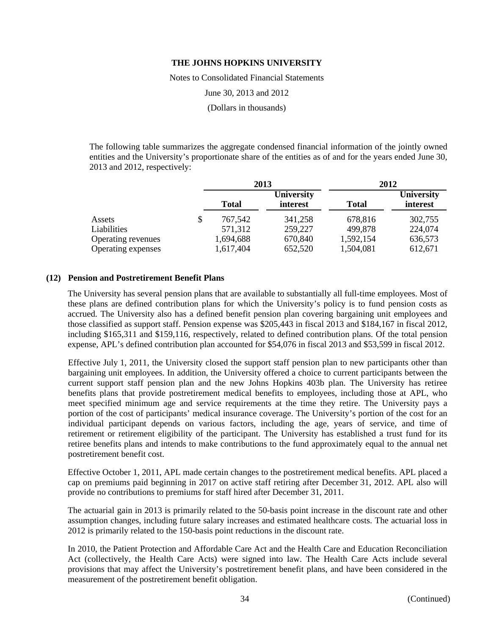Notes to Consolidated Financial Statements

June 30, 2013 and 2012

(Dollars in thousands)

The following table summarizes the aggregate condensed financial information of the jointly owned entities and the University's proportionate share of the entities as of and for the years ended June 30, 2013 and 2012, respectively:

|                    |               | 2013                          | 2012         |                        |  |
|--------------------|---------------|-------------------------------|--------------|------------------------|--|
|                    | <b>Total</b>  | <b>University</b><br>interest | <b>Total</b> | University<br>interest |  |
| Assets             | \$<br>767,542 | 341,258                       | 678,816      | 302,755                |  |
| Liabilities        | 571,312       | 259,227                       | 499,878      | 224,074                |  |
| Operating revenues | 1,694,688     | 670,840                       | 1,592,154    | 636,573                |  |
| Operating expenses | 1,617,404     | 652,520                       | 1,504,081    | 612,671                |  |

# **(12) Pension and Postretirement Benefit Plans**

The University has several pension plans that are available to substantially all full-time employees. Most of these plans are defined contribution plans for which the University's policy is to fund pension costs as accrued. The University also has a defined benefit pension plan covering bargaining unit employees and those classified as support staff. Pension expense was \$205,443 in fiscal 2013 and \$184,167 in fiscal 2012, including \$165,311 and \$159,116, respectively, related to defined contribution plans. Of the total pension expense, APL's defined contribution plan accounted for \$54,076 in fiscal 2013 and \$53,599 in fiscal 2012.

Effective July 1, 2011, the University closed the support staff pension plan to new participants other than bargaining unit employees. In addition, the University offered a choice to current participants between the current support staff pension plan and the new Johns Hopkins 403b plan. The University has retiree benefits plans that provide postretirement medical benefits to employees, including those at APL, who meet specified minimum age and service requirements at the time they retire. The University pays a portion of the cost of participants' medical insurance coverage. The University's portion of the cost for an individual participant depends on various factors, including the age, years of service, and time of retirement or retirement eligibility of the participant. The University has established a trust fund for its retiree benefits plans and intends to make contributions to the fund approximately equal to the annual net postretirement benefit cost.

Effective October 1, 2011, APL made certain changes to the postretirement medical benefits. APL placed a cap on premiums paid beginning in 2017 on active staff retiring after December 31, 2012. APL also will provide no contributions to premiums for staff hired after December 31, 2011.

The actuarial gain in 2013 is primarily related to the 50-basis point increase in the discount rate and other assumption changes, including future salary increases and estimated healthcare costs. The actuarial loss in 2012 is primarily related to the 150-basis point reductions in the discount rate.

In 2010, the Patient Protection and Affordable Care Act and the Health Care and Education Reconciliation Act (collectively, the Health Care Acts) were signed into law. The Health Care Acts include several provisions that may affect the University's postretirement benefit plans, and have been considered in the measurement of the postretirement benefit obligation.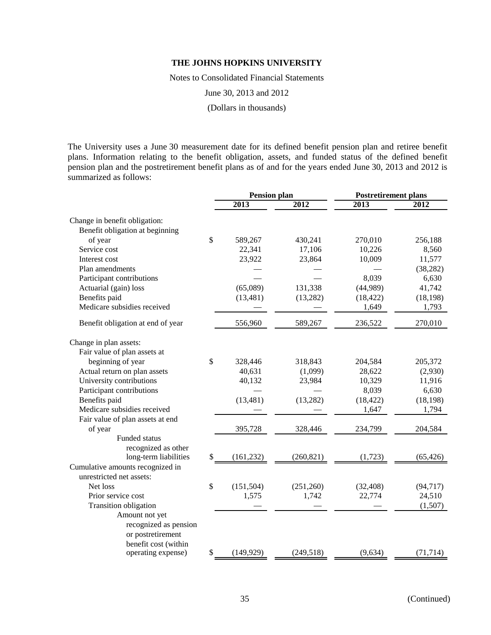Notes to Consolidated Financial Statements

June 30, 2013 and 2012

(Dollars in thousands)

The University uses a June 30 measurement date for its defined benefit pension plan and retiree benefit plans. Information relating to the benefit obligation, assets, and funded status of the defined benefit pension plan and the postretirement benefit plans as of and for the years ended June 30, 2013 and 2012 is summarized as follows:

|                                            | <b>Pension plan</b> |            | <b>Postretirement plans</b> |           |
|--------------------------------------------|---------------------|------------|-----------------------------|-----------|
|                                            | 2013                | 2012       | $\sqrt{2013}$               | 2012      |
| Change in benefit obligation:              |                     |            |                             |           |
| Benefit obligation at beginning            |                     |            |                             |           |
| of year                                    | \$<br>589,267       | 430,241    | 270,010                     | 256,188   |
| Service cost                               | 22,341              | 17,106     | 10,226                      | 8,560     |
| Interest cost                              | 23,922              | 23,864     | 10,009                      | 11,577    |
| Plan amendments                            |                     |            |                             | (38, 282) |
| Participant contributions                  |                     |            | 8,039                       | 6,630     |
| Actuarial (gain) loss                      | (65,089)            | 131,338    | (44,989)                    | 41,742    |
| Benefits paid                              | (13, 481)           | (13, 282)  | (18, 422)                   | (18, 198) |
| Medicare subsidies received                |                     |            | 1,649                       | 1,793     |
| Benefit obligation at end of year          | 556,960             | 589,267    | 236,522                     | 270,010   |
| Change in plan assets:                     |                     |            |                             |           |
| Fair value of plan assets at               |                     |            |                             |           |
| beginning of year                          | \$<br>328,446       | 318,843    | 204,584                     | 205,372   |
| Actual return on plan assets               | 40,631              | (1,099)    | 28,622                      | (2,930)   |
| University contributions                   | 40,132              | 23,984     | 10,329                      | 11,916    |
| Participant contributions                  |                     |            | 8,039                       | 6,630     |
| Benefits paid                              | (13, 481)           | (13, 282)  | (18, 422)                   | (18, 198) |
| Medicare subsidies received                |                     |            | 1,647                       | 1,794     |
| Fair value of plan assets at end           |                     |            |                             |           |
| of year                                    | 395,728             | 328,446    | 234,799                     | 204,584   |
| <b>Funded status</b>                       |                     |            |                             |           |
| recognized as other                        |                     |            |                             |           |
| long-term liabilities                      | \$<br>(161, 232)    | (260, 821) | (1,723)                     | (65, 426) |
| Cumulative amounts recognized in           |                     |            |                             |           |
| unrestricted net assets:                   |                     |            |                             |           |
| Net loss                                   | \$<br>(151, 504)    | (251, 260) | (32, 408)                   | (94, 717) |
| Prior service cost                         | 1,575               | 1,742      | 22,774                      | 24,510    |
| Transition obligation                      |                     |            |                             | (1,507)   |
| Amount not yet                             |                     |            |                             |           |
| recognized as pension<br>or postretirement |                     |            |                             |           |
| benefit cost (within                       |                     |            |                             |           |
| operating expense)                         | \$<br>(149, 929)    | (249, 518) | (9,634)                     | (71, 714) |
|                                            |                     |            |                             |           |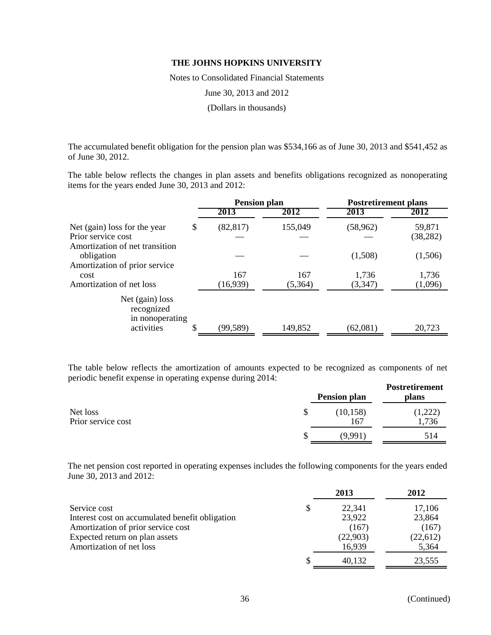Notes to Consolidated Financial Statements

June 30, 2013 and 2012

(Dollars in thousands)

The accumulated benefit obligation for the pension plan was \$534,166 as of June 30, 2013 and \$541,452 as of June 30, 2012.

The table below reflects the changes in plan assets and benefits obligations recognized as nonoperating items for the years ended June 30, 2013 and 2012:

|    | <b>Pension plan</b> |                | <b>Postretirement plans</b> |                     |  |
|----|---------------------|----------------|-----------------------------|---------------------|--|
|    | 2013                | 2012           | 2013                        | 2012                |  |
| \$ | (82, 817)           | 155,049        | (58, 962)                   | 59,871<br>(38, 282) |  |
|    |                     |                | (1,508)                     | (1,506)             |  |
|    | 167<br>(16,939)     | 167<br>(5,364) | 1,736<br>(3,347)            | 1,736<br>(1,096)    |  |
| S  | (99, 589)           | 149,852        | (62,081)                    | 20,723              |  |
|    |                     |                |                             |                     |  |

The table below reflects the amortization of amounts expected to be recognized as components of net periodic benefit expense in operating expense during 2014: **Postretirement**

|                                | <b>Pension plan</b> |                |  |
|--------------------------------|---------------------|----------------|--|
| Net loss<br>Prior service cost | (10, 158)<br>167    | (1,222)<br>736 |  |
|                                | 9.991               | 514            |  |

The net pension cost reported in operating expenses includes the following components for the years ended June 30, 2013 and 2012:

|                                                 | 2013     | 2012     |
|-------------------------------------------------|----------|----------|
| Service cost                                    | 22,341   | 17,106   |
| Interest cost on accumulated benefit obligation | 23,922   | 23,864   |
| Amortization of prior service cost              | (167)    | (167)    |
| Expected return on plan assets                  | (22,903) | (22,612) |
| Amortization of net loss                        | 16,939   | 5,364    |
|                                                 | 40,132   | 23,555   |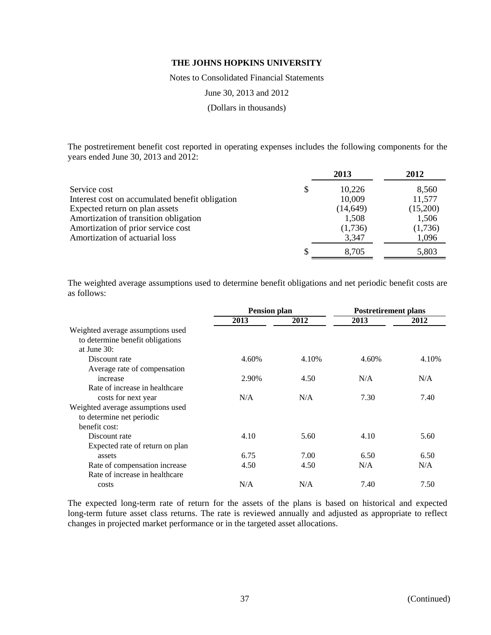Notes to Consolidated Financial Statements

June 30, 2013 and 2012

(Dollars in thousands)

The postretirement benefit cost reported in operating expenses includes the following components for the years ended June 30, 2013 and 2012:

|                                                 | 2013         | 2012     |
|-------------------------------------------------|--------------|----------|
| Service cost                                    | \$<br>10,226 | 8,560    |
| Interest cost on accumulated benefit obligation | 10,009       | 11,577   |
| Expected return on plan assets                  | (14, 649)    | (15,200) |
| Amortization of transition obligation           | 1,508        | 1,506    |
| Amortization of prior service cost              | (1,736)      | (1,736)  |
| Amortization of actuarial loss                  | 3,347        | 1,096    |
|                                                 | 8,705        | 5,803    |

The weighted average assumptions used to determine benefit obligations and net periodic benefit costs are as follows:

|                                   | <b>Pension plan</b> |       | <b>Postretirement plans</b> |       |
|-----------------------------------|---------------------|-------|-----------------------------|-------|
|                                   | 2013                | 2012  | 2013                        | 2012  |
| Weighted average assumptions used |                     |       |                             |       |
| to determine benefit obligations  |                     |       |                             |       |
| at June $30:$                     |                     |       |                             |       |
| Discount rate                     | 4.60%               | 4.10% | 4.60%                       | 4.10% |
| Average rate of compensation      |                     |       |                             |       |
| increase                          | 2.90%               | 4.50  | N/A                         | N/A   |
| Rate of increase in healthcare    |                     |       |                             |       |
| costs for next year               | N/A                 | N/A   | 7.30                        | 7.40  |
| Weighted average assumptions used |                     |       |                             |       |
| to determine net periodic         |                     |       |                             |       |
| benefit cost:                     |                     |       |                             |       |
| Discount rate                     | 4.10                | 5.60  | 4.10                        | 5.60  |
| Expected rate of return on plan   |                     |       |                             |       |
| assets                            | 6.75                | 7.00  | 6.50                        | 6.50  |
| Rate of compensation increase     | 4.50                | 4.50  | N/A                         | N/A   |
| Rate of increase in healthcare    |                     |       |                             |       |
| costs                             | N/A                 | N/A   | 7.40                        | 7.50  |

The expected long-term rate of return for the assets of the plans is based on historical and expected long-term future asset class returns. The rate is reviewed annually and adjusted as appropriate to reflect changes in projected market performance or in the targeted asset allocations.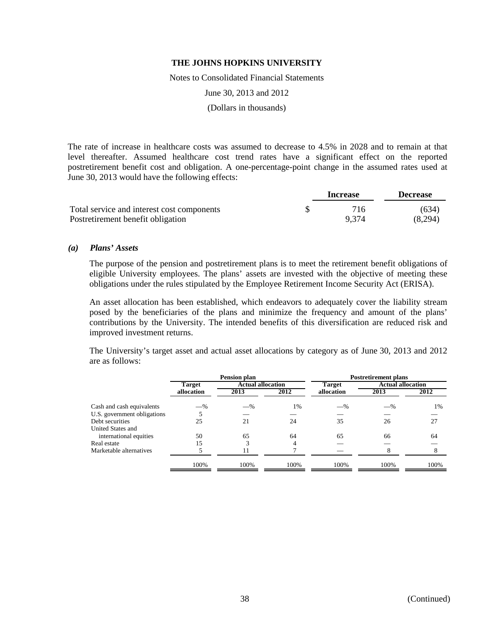Notes to Consolidated Financial Statements

June 30, 2013 and 2012

(Dollars in thousands)

The rate of increase in healthcare costs was assumed to decrease to 4.5% in 2028 and to remain at that level thereafter. Assumed healthcare cost trend rates have a significant effect on the reported postretirement benefit cost and obligation. A one-percentage-point change in the assumed rates used at June 30, 2013 would have the following effects:

|                                            | Increase | <b>Decrease</b> |
|--------------------------------------------|----------|-----------------|
| Total service and interest cost components | 716      | (634)           |
| Postretirement benefit obligation          | 9.374    | (8,294)         |

#### *(a) Plans' Assets*

The purpose of the pension and postretirement plans is to meet the retirement benefit obligations of eligible University employees. The plans' assets are invested with the objective of meeting these obligations under the rules stipulated by the Employee Retirement Income Security Act (ERISA).

An asset allocation has been established, which endeavors to adequately cover the liability stream posed by the beneficiaries of the plans and minimize the frequency and amount of the plans' contributions by the University. The intended benefits of this diversification are reduced risk and improved investment returns.

The University's target asset and actual asset allocations by category as of June 30, 2013 and 2012 are as follows:

|                             | <b>Pension plan</b> |                          | <b>Postretirement plans</b> |               |                          |      |
|-----------------------------|---------------------|--------------------------|-----------------------------|---------------|--------------------------|------|
|                             | <b>Target</b>       | <b>Actual allocation</b> |                             | <b>Target</b> | <b>Actual allocation</b> |      |
|                             | allocation          | 2013                     | 2012                        | allocation    | 2013                     | 2012 |
| Cash and cash equivalents   | $-$ %               | $-$ %                    | 1%                          | $-$ %         | $-$ %                    | 1%   |
| U.S. government obligations |                     |                          |                             |               |                          |      |
| Debt securities             | 25                  | 21                       | 24                          | 35            | 26                       | 27   |
| United States and           |                     |                          |                             |               |                          |      |
| international equities      | 50                  | 65                       | 64                          | 65            | 66                       | 64   |
| Real estate                 | 15                  | 3                        | 4                           |               |                          |      |
| Marketable alternatives     |                     | 11                       |                             |               | 8                        | 8    |
|                             | 100%                | 100%                     | 100%                        | 100%          | 100%                     | 100% |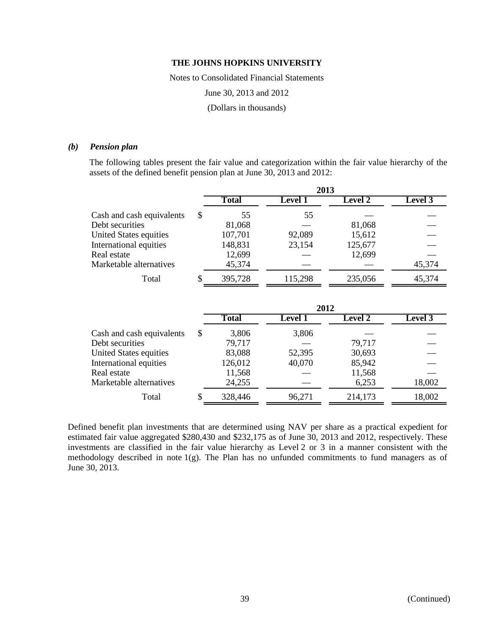Notes to Consolidated Financial Statements

June 30, 2013 and 2012

(Dollars in thousands)

#### *(b) Pension plan*

The following tables present the fair value and categorization within the fair value hierarchy of the assets of the defined benefit pension plan at June 30, 2013 and 2012:

|                           |   | 2013         |                |                |         |  |
|---------------------------|---|--------------|----------------|----------------|---------|--|
|                           |   | <b>Total</b> | <b>Level 1</b> | <b>Level 2</b> | Level 3 |  |
| Cash and cash equivalents | S | 55           | 55             |                |         |  |
| Debt securities           |   | 81,068       |                | 81,068         |         |  |
| United States equities    |   | 107,701      | 92,089         | 15,612         |         |  |
| International equities    |   | 148,831      | 23,154         | 125,677        |         |  |
| Real estate               |   | 12,699       |                | 12,699         |         |  |
| Marketable alternatives   |   | 45,374       |                |                | 45,374  |  |
| Total                     | S | 395,728      | 115,298        | 235,056        | 45,374  |  |

|                           |   | 2012         |         |                |                |
|---------------------------|---|--------------|---------|----------------|----------------|
|                           |   | <b>Total</b> | Level 1 | <b>Level 2</b> | <b>Level 3</b> |
| Cash and cash equivalents | S | 3,806        | 3,806   |                |                |
| Debt securities           |   | 79,717       |         | 79,717         |                |
| United States equities    |   | 83,088       | 52,395  | 30,693         |                |
| International equities    |   | 126,012      | 40,070  | 85,942         |                |
| Real estate               |   | 11,568       |         | 11,568         |                |
| Marketable alternatives   |   | 24,255       |         | 6,253          | 18,002         |
| Total                     |   | 328,446      | 96,271  | 214,173        | 18,002         |

Defined benefit plan investments that are determined using NAV per share as a practical expedient for estimated fair value aggregated \$280,430 and \$232,175 as of June 30, 2013 and 2012, respectively. These investments are classified in the fair value hierarchy as Level 2 or 3 in a manner consistent with the methodology described in note 1(g). The Plan has no unfunded commitments to fund managers as of June 30, 2013.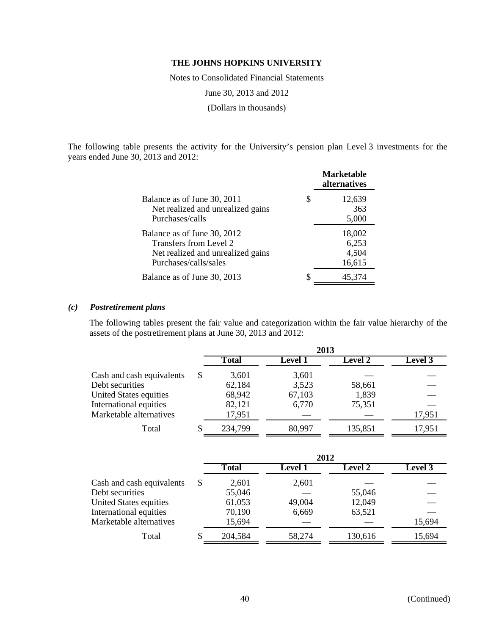Notes to Consolidated Financial Statements

June 30, 2013 and 2012

(Dollars in thousands)

The following table presents the activity for the University's pension plan Level 3 investments for the years ended June 30, 2013 and 2012:

|                                                                                                                     |   | <b>Marketable</b><br>alternatives  |
|---------------------------------------------------------------------------------------------------------------------|---|------------------------------------|
| Balance as of June 30, 2011<br>Net realized and unrealized gains<br>Purchases/calls                                 | S | 12,639<br>363<br>5,000             |
| Balance as of June 30, 2012<br>Transfers from Level 2<br>Net realized and unrealized gains<br>Purchases/calls/sales |   | 18,002<br>6,253<br>4,504<br>16,615 |
| Balance as of June 30, 2013                                                                                         |   | 45,374                             |

### *(c) Postretirement plans*

The following tables present the fair value and categorization within the fair value hierarchy of the assets of the postretirement plans at June 30, 2013 and 2012:

|                           |   | 2013         |                |                |         |
|---------------------------|---|--------------|----------------|----------------|---------|
|                           |   | <b>Total</b> | <b>Level 1</b> | <b>Level 2</b> | Level 3 |
| Cash and cash equivalents |   | 3,601        | 3,601          |                |         |
| Debt securities           |   | 62,184       | 3,523          | 58,661         |         |
| United States equities    |   | 68,942       | 67,103         | 1,839          |         |
| International equities    |   | 82,121       | 6,770          | 75,351         |         |
| Marketable alternatives   |   | 17,951       |                |                | 17,951  |
| Total                     | S | 234,799      | 80,997         | 135,851        | 17,951  |

| 2012         |                |                |                |
|--------------|----------------|----------------|----------------|
| <b>Total</b> | <b>Level 1</b> | <b>Level 2</b> | <b>Level 3</b> |
| 2,601        | 2,601          |                |                |
| 55,046       |                | 55,046         |                |
| 61,053       | 49,004         | 12,049         |                |
| 70,190       | 6,669          | 63,521         |                |
| 15,694       |                |                | 15,694         |
| 204,584      | 58,274         | 130,616        | 15,694         |
|              |                |                |                |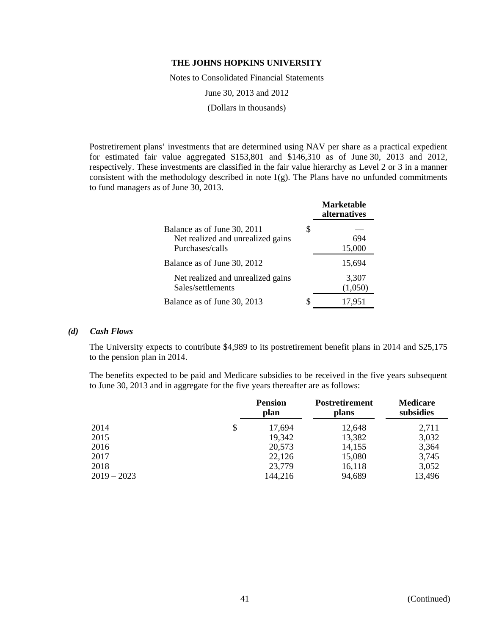Notes to Consolidated Financial Statements

June 30, 2013 and 2012

(Dollars in thousands)

Postretirement plans' investments that are determined using NAV per share as a practical expedient for estimated fair value aggregated \$153,801 and \$146,310 as of June 30, 2013 and 2012, respectively. These investments are classified in the fair value hierarchy as Level 2 or 3 in a manner consistent with the methodology described in note  $1(g)$ . The Plans have no unfunded commitments to fund managers as of June 30, 2013.

|                                                                                     |   | <b>Marketable</b><br>alternatives |
|-------------------------------------------------------------------------------------|---|-----------------------------------|
| Balance as of June 30, 2011<br>Net realized and unrealized gains<br>Purchases/calls | S | 694<br>15,000                     |
| Balance as of June 30, 2012                                                         |   | 15,694                            |
| Net realized and unrealized gains<br>Sales/settlements                              |   | 3,307<br>(1,050)                  |
| Balance as of June 30, 2013                                                         |   | 17.951                            |

#### *(d) Cash Flows*

The University expects to contribute \$4,989 to its postretirement benefit plans in 2014 and \$25,175 to the pension plan in 2014.

The benefits expected to be paid and Medicare subsidies to be received in the five years subsequent to June 30, 2013 and in aggregate for the five years thereafter are as follows:

|               | <b>Pension</b><br>plan | <b>Postretirement</b><br>plans | <b>Medicare</b><br>subsidies |
|---------------|------------------------|--------------------------------|------------------------------|
| 2014          | \$<br>17,694           | 12,648                         | 2,711                        |
| 2015          | 19,342                 | 13,382                         | 3,032                        |
| 2016          | 20,573                 | 14,155                         | 3,364                        |
| 2017          | 22,126                 | 15,080                         | 3,745                        |
| 2018          | 23,779                 | 16,118                         | 3,052                        |
| $2019 - 2023$ | 144,216                | 94,689                         | 13,496                       |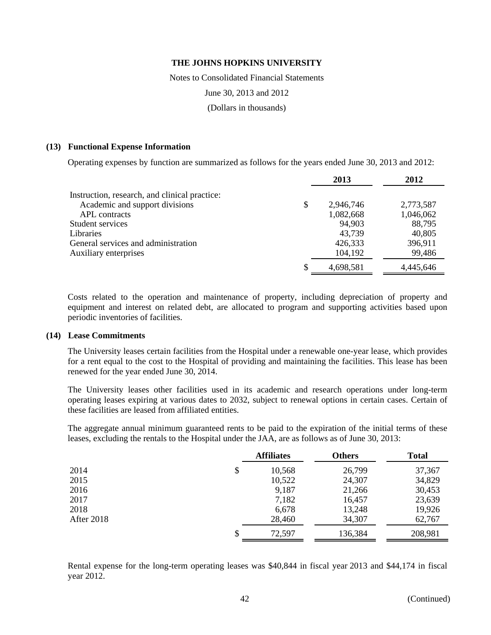Notes to Consolidated Financial Statements

June 30, 2013 and 2012

(Dollars in thousands)

#### **(13) Functional Expense Information**

Operating expenses by function are summarized as follows for the years ended June 30, 2013 and 2012:

|                                               | 2013            | 2012      |
|-----------------------------------------------|-----------------|-----------|
| Instruction, research, and clinical practice: |                 |           |
| Academic and support divisions                | \$<br>2,946,746 | 2,773,587 |
| APL contracts                                 | 1,082,668       | 1,046,062 |
| Student services                              | 94,903          | 88,795    |
| Libraries                                     | 43,739          | 40,805    |
| General services and administration           | 426,333         | 396,911   |
| Auxiliary enterprises                         | 104,192         | 99,486    |
|                                               | 4,698,581       | 4,445,646 |

Costs related to the operation and maintenance of property, including depreciation of property and equipment and interest on related debt, are allocated to program and supporting activities based upon periodic inventories of facilities.

### **(14) Lease Commitments**

The University leases certain facilities from the Hospital under a renewable one-year lease, which provides for a rent equal to the cost to the Hospital of providing and maintaining the facilities. This lease has been renewed for the year ended June 30, 2014.

The University leases other facilities used in its academic and research operations under long-term operating leases expiring at various dates to 2032, subject to renewal options in certain cases. Certain of these facilities are leased from affiliated entities.

The aggregate annual minimum guaranteed rents to be paid to the expiration of the initial terms of these leases, excluding the rentals to the Hospital under the JAA, are as follows as of June 30, 2013:

|            | <b>Affiliates</b> | <b>Others</b> | <b>Total</b> |
|------------|-------------------|---------------|--------------|
| 2014       | \$<br>10,568      | 26,799        | 37,367       |
| 2015       | 10,522            | 24,307        | 34,829       |
| 2016       | 9,187             | 21,266        | 30,453       |
| 2017       | 7,182             | 16,457        | 23,639       |
| 2018       | 6,678             | 13,248        | 19,926       |
| After 2018 | 28,460            | 34,307        | 62,767       |
|            | \$<br>72,597      | 136,384       | 208,981      |

Rental expense for the long-term operating leases was \$40,844 in fiscal year 2013 and \$44,174 in fiscal year 2012.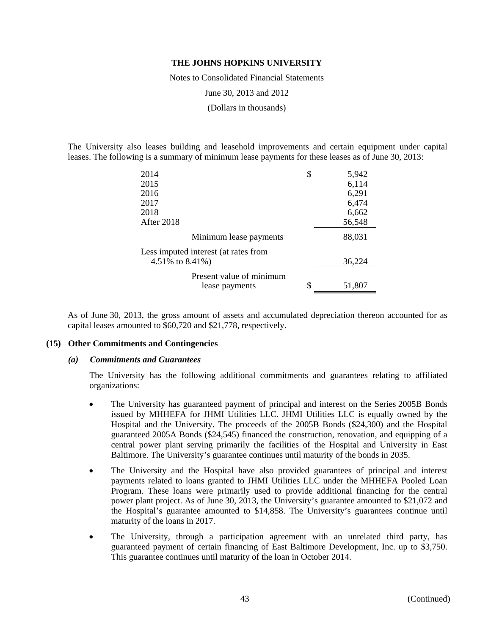Notes to Consolidated Financial Statements

June 30, 2013 and 2012

(Dollars in thousands)

The University also leases building and leasehold improvements and certain equipment under capital leases. The following is a summary of minimum lease payments for these leases as of June 30, 2013:

| 2014                                 | \$<br>5,942  |
|--------------------------------------|--------------|
| 2015                                 | 6,114        |
| 2016                                 | 6,291        |
| 2017                                 | 6,474        |
| 2018                                 | 6,662        |
| After 2018                           | 56,548       |
| Minimum lease payments               | 88,031       |
| Less imputed interest (at rates from |              |
| 4.51% to 8.41%)                      | 36,224       |
| Present value of minimum             |              |
| lease payments                       | \$<br>51,807 |

As of June 30, 2013, the gross amount of assets and accumulated depreciation thereon accounted for as capital leases amounted to \$60,720 and \$21,778, respectively.

### **(15) Other Commitments and Contingencies**

#### *(a) Commitments and Guarantees*

The University has the following additional commitments and guarantees relating to affiliated organizations:

- The University has guaranteed payment of principal and interest on the Series 2005B Bonds issued by MHHEFA for JHMI Utilities LLC. JHMI Utilities LLC is equally owned by the Hospital and the University. The proceeds of the 2005B Bonds (\$24,300) and the Hospital guaranteed 2005A Bonds (\$24,545) financed the construction, renovation, and equipping of a central power plant serving primarily the facilities of the Hospital and University in East Baltimore. The University's guarantee continues until maturity of the bonds in 2035.
- The University and the Hospital have also provided guarantees of principal and interest payments related to loans granted to JHMI Utilities LLC under the MHHEFA Pooled Loan Program. These loans were primarily used to provide additional financing for the central power plant project. As of June 30, 2013, the University's guarantee amounted to \$21,072 and the Hospital's guarantee amounted to \$14,858. The University's guarantees continue until maturity of the loans in 2017.
- The University, through a participation agreement with an unrelated third party, has guaranteed payment of certain financing of East Baltimore Development, Inc. up to \$3,750. This guarantee continues until maturity of the loan in October 2014.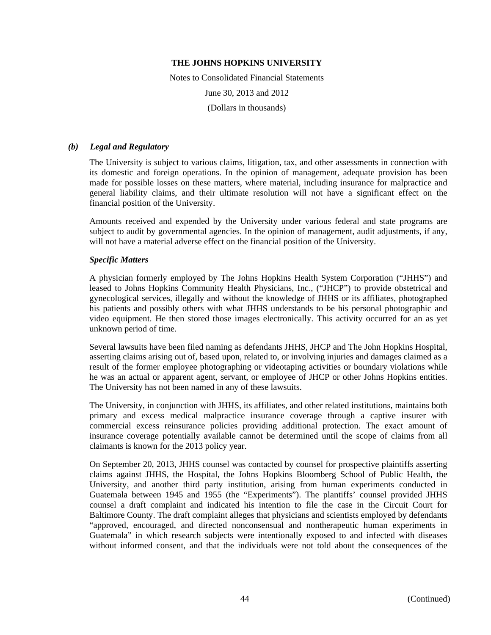Notes to Consolidated Financial Statements June 30, 2013 and 2012 (Dollars in thousands)

#### *(b) Legal and Regulatory*

The University is subject to various claims, litigation, tax, and other assessments in connection with its domestic and foreign operations. In the opinion of management, adequate provision has been made for possible losses on these matters, where material, including insurance for malpractice and general liability claims, and their ultimate resolution will not have a significant effect on the financial position of the University.

Amounts received and expended by the University under various federal and state programs are subject to audit by governmental agencies. In the opinion of management, audit adjustments, if any, will not have a material adverse effect on the financial position of the University.

#### *Specific Matters*

A physician formerly employed by The Johns Hopkins Health System Corporation ("JHHS") and leased to Johns Hopkins Community Health Physicians, Inc., ("JHCP") to provide obstetrical and gynecological services, illegally and without the knowledge of JHHS or its affiliates, photographed his patients and possibly others with what JHHS understands to be his personal photographic and video equipment. He then stored those images electronically. This activity occurred for an as yet unknown period of time.

Several lawsuits have been filed naming as defendants JHHS, JHCP and The John Hopkins Hospital, asserting claims arising out of, based upon, related to, or involving injuries and damages claimed as a result of the former employee photographing or videotaping activities or boundary violations while he was an actual or apparent agent, servant, or employee of JHCP or other Johns Hopkins entities. The University has not been named in any of these lawsuits.

The University, in conjunction with JHHS, its affiliates, and other related institutions, maintains both primary and excess medical malpractice insurance coverage through a captive insurer with commercial excess reinsurance policies providing additional protection. The exact amount of insurance coverage potentially available cannot be determined until the scope of claims from all claimants is known for the 2013 policy year.

On September 20, 2013, JHHS counsel was contacted by counsel for prospective plaintiffs asserting claims against JHHS, the Hospital, the Johns Hopkins Bloomberg School of Public Health, the University, and another third party institution, arising from human experiments conducted in Guatemala between 1945 and 1955 (the "Experiments"). The plantiffs' counsel provided JHHS counsel a draft complaint and indicated his intention to file the case in the Circuit Court for Baltimore County. The draft complaint alleges that physicians and scientists employed by defendants "approved, encouraged, and directed nonconsensual and nontherapeutic human experiments in Guatemala" in which research subjects were intentionally exposed to and infected with diseases without informed consent, and that the individuals were not told about the consequences of the